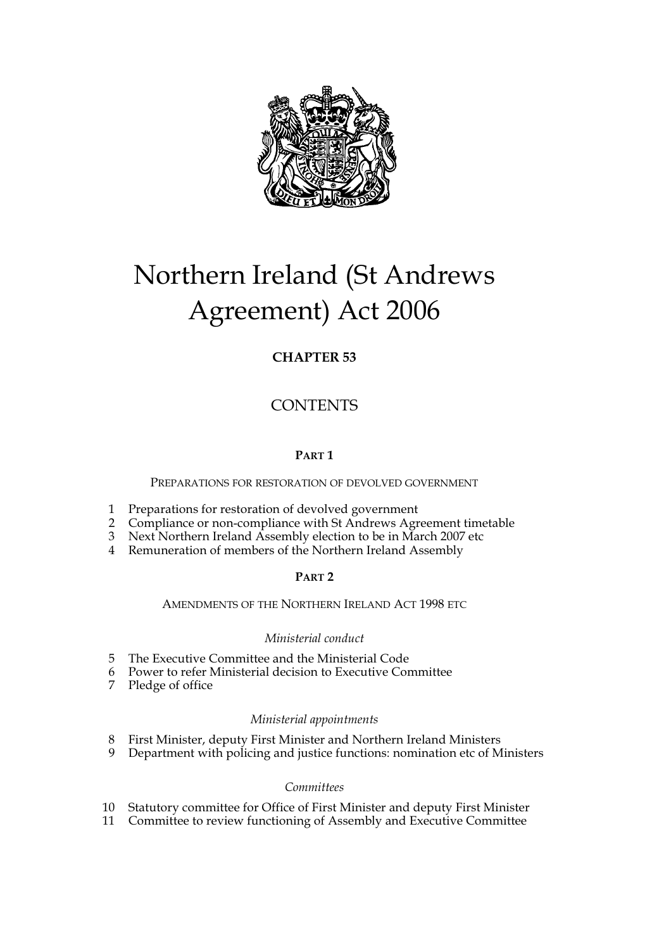

# Northern Ireland (St Andrews Agreement) Act 2006

## **CHAPTER 53**

## **CONTENTS**

## **PART 1**

PREPARATIONS FOR RESTORATION OF DEVOLVED GOVERNMENT

- 1 Preparations for restoration of devolved government
- 2 Compliance or non-compliance with St Andrews Agreement timetable<br>3 Next Northern Ireland Assembly election to be in March 2007 etc
- 3 Next Northern Ireland Assembly election to be in March 2007 etc
- 4 Remuneration of members of the Northern Ireland Assembly

## **PART 2**

AMENDMENTS OF THE NORTHERN IRELAND ACT 1998 ETC

## *Ministerial conduct*

- 5 The Executive Committee and the Ministerial Code
- 6 Power to refer Ministerial decision to Executive Committee
- 7 Pledge of office

## *Ministerial appointments*

- 8 First Minister, deputy First Minister and Northern Ireland Ministers
- 9 Department with policing and justice functions: nomination etc of Ministers

## *Committees*

- 10 Statutory committee for Office of First Minister and deputy First Minister
- 11 Committee to review functioning of Assembly and Executive Committee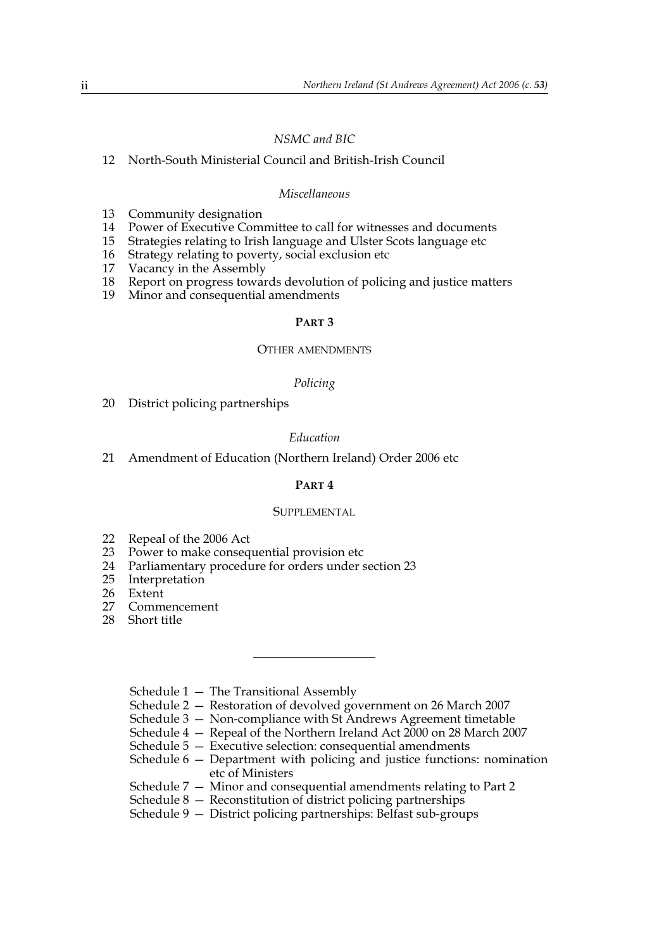#### *NSMC and BIC*

## 12 North-South Ministerial Council and British-Irish Council

#### *Miscellaneous*

- 13 Community designation
- 14 Power of Executive Committee to call for witnesses and documents
- 15 Strategies relating to Irish language and Ulster Scots language etc
- 16 Strategy relating to poverty, social exclusion etc
- 17 Vacancy in the Assembly
- 18 Report on progress towards devolution of policing and justice matters
- 19 Minor and consequential amendments

#### **PART 3**

#### OTHER AMENDMENTS

#### *Policing*

20 District policing partnerships

#### *Education*

21 Amendment of Education (Northern Ireland) Order 2006 etc

#### **PART 4**

#### SUPPLEMENTAL

- 22 Repeal of the 2006 Act<br>23 Power to make conseq
- Power to make consequential provision etc
- 24 Parliamentary procedure for orders under section 23
- 25 Interpretation
- 26 Extent
- 27 Commencement
- 28 Short title
	- Schedule 1 The Transitional Assembly
	- Schedule 2 Restoration of devolved government on 26 March 2007
	- Schedule 3 Non-compliance with St Andrews Agreement timetable
	- Schedule 4 Repeal of the Northern Ireland Act 2000 on 28 March 2007
	- Schedule 5 Executive selection: consequential amendments
	- Schedule 6 Department with policing and justice functions: nomination etc of Ministers
	- Schedule 7 Minor and consequential amendments relating to Part 2
	- Schedule  $8 -$  Reconstitution of district policing partnerships
	- Schedule 9 District policing partnerships: Belfast sub-groups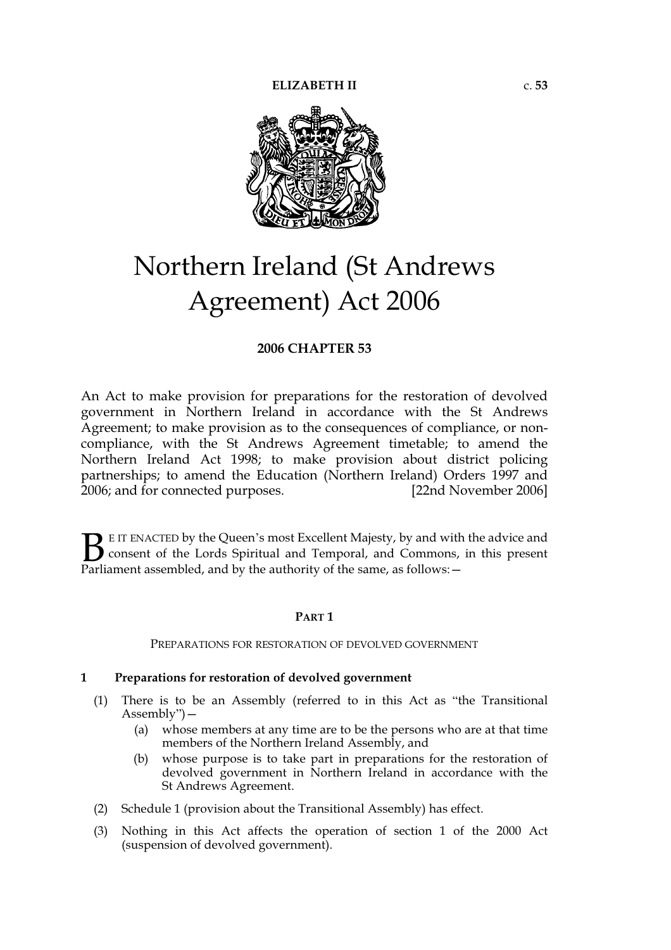

# Northern Ireland (St Andrews Agreement) Act 2006

## **2006 CHAPTER 53**

An Act to make provision for preparations for the restoration of devolved government in Northern Ireland in accordance with the St Andrews Agreement; to make provision as to the consequences of compliance, or noncompliance, with the St Andrews Agreement timetable; to amend the Northern Ireland Act 1998; to make provision about district policing partnerships; to amend the Education (Northern Ireland) Orders 1997 and 2006; and for connected purposes. [22nd November 2006]

E IT ENACTED by the Queen's most Excellent Majesty, by and with the advice and consent of the Lords Spiritual and Temporal, and Commons, in this present **B** E IT ENACTED by the Queen's most Excellent Majesty, by and with consent of the Lords Spiritual and Temporal, and Commons, Parliament assembled, and by the authority of the same, as follows:

#### **PART 1**

#### PREPARATIONS FOR RESTORATION OF DEVOLVED GOVERNMENT

#### **1 Preparations for restoration of devolved government**

- (1) There is to be an Assembly (referred to in this Act as "the Transitional Assembly")—
	- (a) whose members at any time are to be the persons who are at that time members of the Northern Ireland Assembly, and
	- (b) whose purpose is to take part in preparations for the restoration of devolved government in Northern Ireland in accordance with the St Andrews Agreement.
- (2) Schedule 1 (provision about the Transitional Assembly) has effect.
- (3) Nothing in this Act affects the operation of section 1 of the 2000 Act (suspension of devolved government).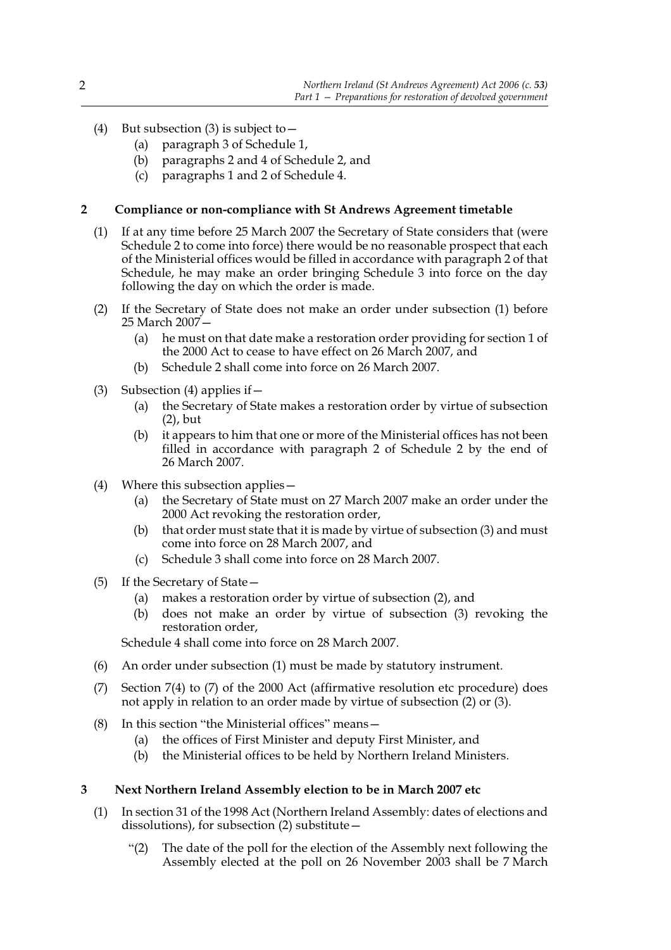- (4) But subsection (3) is subject to  $-$ 
	- (a) paragraph 3 of Schedule 1,
	- (b) paragraphs 2 and 4 of Schedule 2, and
	- (c) paragraphs 1 and 2 of Schedule 4.

## **2 Compliance or non-compliance with St Andrews Agreement timetable**

- (1) If at any time before 25 March 2007 the Secretary of State considers that (were Schedule 2 to come into force) there would be no reasonable prospect that each of the Ministerial offices would be filled in accordance with paragraph 2 of that Schedule, he may make an order bringing Schedule 3 into force on the day following the day on which the order is made.
- (2) If the Secretary of State does not make an order under subsection (1) before 25 March 2007—
	- (a) he must on that date make a restoration order providing for section 1 of the 2000 Act to cease to have effect on 26 March 2007, and
	- (b) Schedule 2 shall come into force on 26 March 2007.
- (3) Subsection (4) applies if  $-$ 
	- (a) the Secretary of State makes a restoration order by virtue of subsection (2), but
	- (b) it appears to him that one or more of the Ministerial offices has not been filled in accordance with paragraph 2 of Schedule 2 by the end of 26 March 2007.
- (4) Where this subsection applies—
	- (a) the Secretary of State must on 27 March 2007 make an order under the 2000 Act revoking the restoration order,
	- (b) that order must state that it is made by virtue of subsection (3) and must come into force on 28 March 2007, and
	- (c) Schedule 3 shall come into force on 28 March 2007.
- (5) If the Secretary of State—
	- (a) makes a restoration order by virtue of subsection (2), and
	- (b) does not make an order by virtue of subsection (3) revoking the restoration order,

Schedule 4 shall come into force on 28 March 2007.

- (6) An order under subsection (1) must be made by statutory instrument.
- (7) Section 7(4) to (7) of the 2000 Act (affirmative resolution etc procedure) does not apply in relation to an order made by virtue of subsection (2) or (3).
- (8) In this section "the Ministerial offices" means—
	- (a) the offices of First Minister and deputy First Minister, and
	- (b) the Ministerial offices to be held by Northern Ireland Ministers.

## **3 Next Northern Ireland Assembly election to be in March 2007 etc**

- (1) In section 31 of the 1998 Act (Northern Ireland Assembly: dates of elections and dissolutions), for subsection (2) substitute—
	- "(2) The date of the poll for the election of the Assembly next following the Assembly elected at the poll on 26 November 2003 shall be 7 March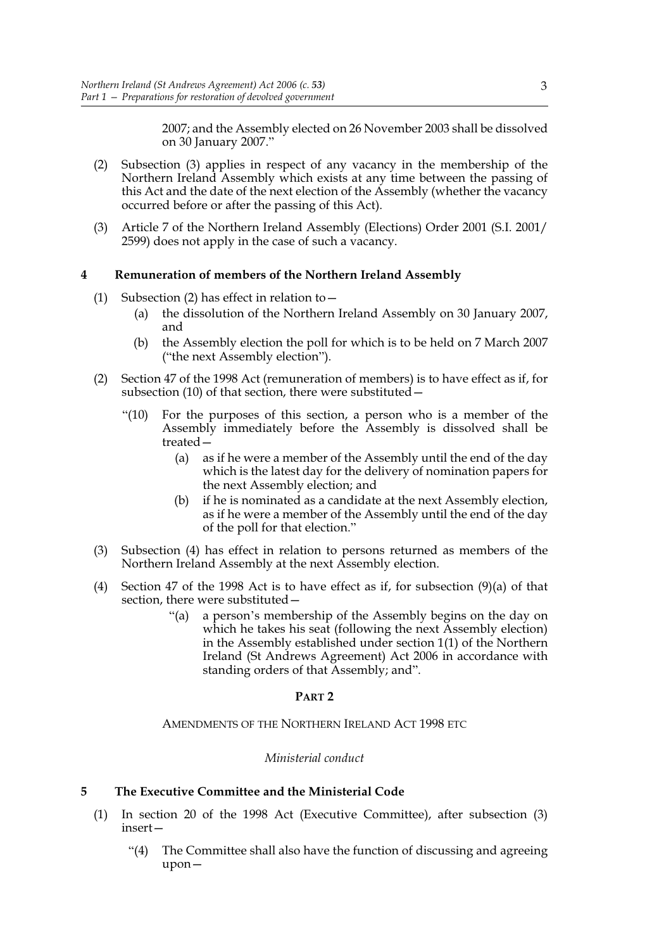2007; and the Assembly elected on 26 November 2003 shall be dissolved on 30 January 2007."

- (2) Subsection (3) applies in respect of any vacancy in the membership of the Northern Ireland Assembly which exists at any time between the passing of this Act and the date of the next election of the Assembly (whether the vacancy occurred before or after the passing of this Act).
- (3) Article 7 of the Northern Ireland Assembly (Elections) Order 2001 (S.I. 2001/ 2599) does not apply in the case of such a vacancy.

## **4 Remuneration of members of the Northern Ireland Assembly**

- (1) Subsection (2) has effect in relation to  $-$ 
	- (a) the dissolution of the Northern Ireland Assembly on 30 January 2007, and
	- (b) the Assembly election the poll for which is to be held on 7 March 2007 ("the next Assembly election").
- (2) Section 47 of the 1998 Act (remuneration of members) is to have effect as if, for subsection (10) of that section, there were substituted—
	- "(10) For the purposes of this section, a person who is a member of the Assembly immediately before the Assembly is dissolved shall be treated—
		- (a) as if he were a member of the Assembly until the end of the day which is the latest day for the delivery of nomination papers for the next Assembly election; and
		- (b) if he is nominated as a candidate at the next Assembly election, as if he were a member of the Assembly until the end of the day of the poll for that election."
- (3) Subsection (4) has effect in relation to persons returned as members of the Northern Ireland Assembly at the next Assembly election.
- (4) Section 47 of the 1998 Act is to have effect as if, for subsection (9)(a) of that section, there were substituted—
	- "(a) a person's membership of the Assembly begins on the day on which he takes his seat (following the next Assembly election) in the Assembly established under section 1(1) of the Northern Ireland (St Andrews Agreement) Act 2006 in accordance with standing orders of that Assembly; and".

#### **PART 2**

## AMENDMENTS OF THE NORTHERN IRELAND ACT 1998 ETC

## *Ministerial conduct*

## **5 The Executive Committee and the Ministerial Code**

- (1) In section 20 of the 1998 Act (Executive Committee), after subsection (3) insert—
	- "(4) The Committee shall also have the function of discussing and agreeing upon—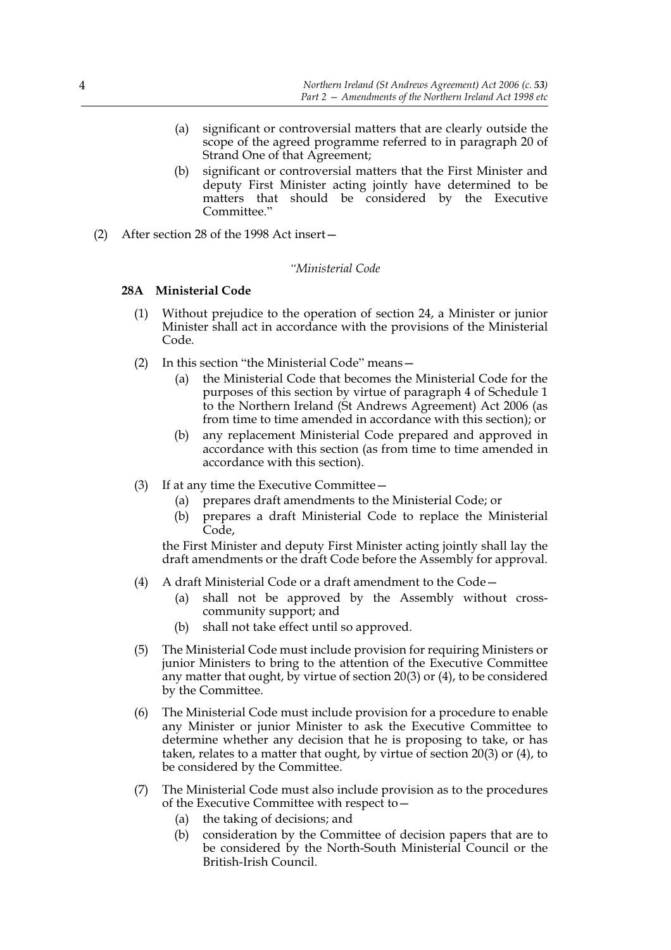- (a) significant or controversial matters that are clearly outside the scope of the agreed programme referred to in paragraph 20 of Strand One of that Agreement;
- (b) significant or controversial matters that the First Minister and deputy First Minister acting jointly have determined to be matters that should be considered by the Executive Committee."
- (2) After section 28 of the 1998 Act insert—

#### *"Ministerial Code*

## **28A Ministerial Code**

- (1) Without prejudice to the operation of section 24, a Minister or junior Minister shall act in accordance with the provisions of the Ministerial Code.
- (2) In this section "the Ministerial Code" means—
	- (a) the Ministerial Code that becomes the Ministerial Code for the purposes of this section by virtue of paragraph 4 of Schedule 1 to the Northern Ireland (St Andrews Agreement) Act 2006 (as from time to time amended in accordance with this section); or
	- (b) any replacement Ministerial Code prepared and approved in accordance with this section (as from time to time amended in accordance with this section).
- (3) If at any time the Executive Committee—
	- (a) prepares draft amendments to the Ministerial Code; or
	- (b) prepares a draft Ministerial Code to replace the Ministerial Code,

the First Minister and deputy First Minister acting jointly shall lay the draft amendments or the draft Code before the Assembly for approval.

- (4) A draft Ministerial Code or a draft amendment to the Code—
	- (a) shall not be approved by the Assembly without crosscommunity support; and
	- (b) shall not take effect until so approved.
- (5) The Ministerial Code must include provision for requiring Ministers or junior Ministers to bring to the attention of the Executive Committee any matter that ought, by virtue of section 20(3) or (4), to be considered by the Committee.
- (6) The Ministerial Code must include provision for a procedure to enable any Minister or junior Minister to ask the Executive Committee to determine whether any decision that he is proposing to take, or has taken, relates to a matter that ought, by virtue of section 20(3) or (4), to be considered by the Committee.
- (7) The Ministerial Code must also include provision as to the procedures of the Executive Committee with respect to—
	- (a) the taking of decisions; and
	- (b) consideration by the Committee of decision papers that are to be considered by the North-South Ministerial Council or the British-Irish Council.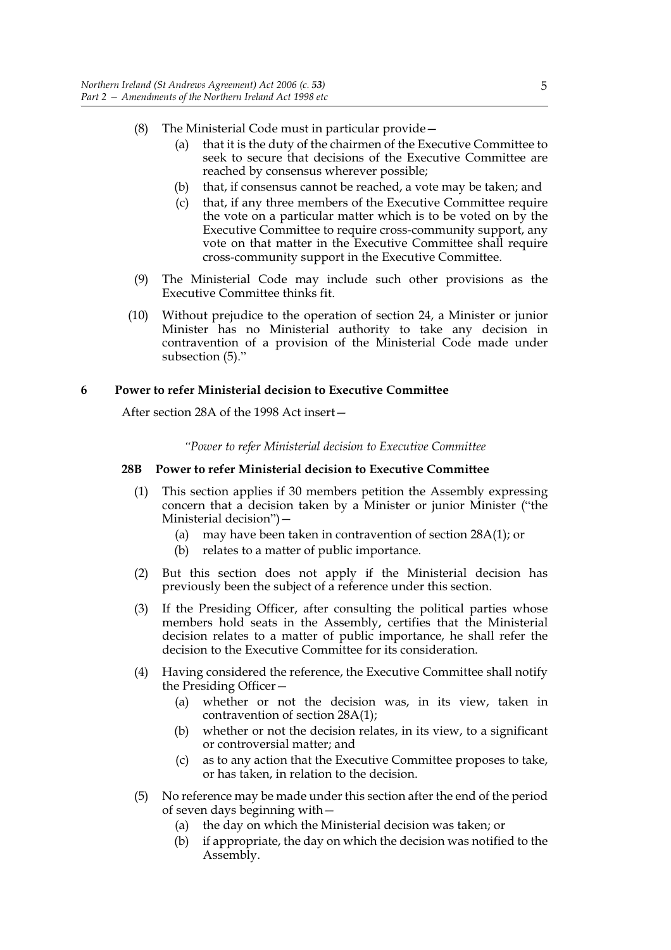- (8) The Ministerial Code must in particular provide—
	- (a) that it is the duty of the chairmen of the Executive Committee to seek to secure that decisions of the Executive Committee are reached by consensus wherever possible;
	- (b) that, if consensus cannot be reached, a vote may be taken; and
	- (c) that, if any three members of the Executive Committee require the vote on a particular matter which is to be voted on by the Executive Committee to require cross-community support, any vote on that matter in the Executive Committee shall require cross-community support in the Executive Committee.
- (9) The Ministerial Code may include such other provisions as the Executive Committee thinks fit.
- (10) Without prejudice to the operation of section 24, a Minister or junior Minister has no Ministerial authority to take any decision in contravention of a provision of the Ministerial Code made under subsection (5)."

## **6 Power to refer Ministerial decision to Executive Committee**

After section 28A of the 1998 Act insert—

*"Power to refer Ministerial decision to Executive Committee*

#### **28B Power to refer Ministerial decision to Executive Committee**

- (1) This section applies if 30 members petition the Assembly expressing concern that a decision taken by a Minister or junior Minister ("the Ministerial decision")—
	- (a) may have been taken in contravention of section 28A(1); or
	- (b) relates to a matter of public importance.
- (2) But this section does not apply if the Ministerial decision has previously been the subject of a reference under this section.
- (3) If the Presiding Officer, after consulting the political parties whose members hold seats in the Assembly, certifies that the Ministerial decision relates to a matter of public importance, he shall refer the decision to the Executive Committee for its consideration.
- (4) Having considered the reference, the Executive Committee shall notify the Presiding Officer—
	- (a) whether or not the decision was, in its view, taken in contravention of section 28A(1);
	- (b) whether or not the decision relates, in its view, to a significant or controversial matter; and
	- (c) as to any action that the Executive Committee proposes to take, or has taken, in relation to the decision.
- (5) No reference may be made under this section after the end of the period of seven days beginning with—
	- (a) the day on which the Ministerial decision was taken; or
	- (b) if appropriate, the day on which the decision was notified to the Assembly.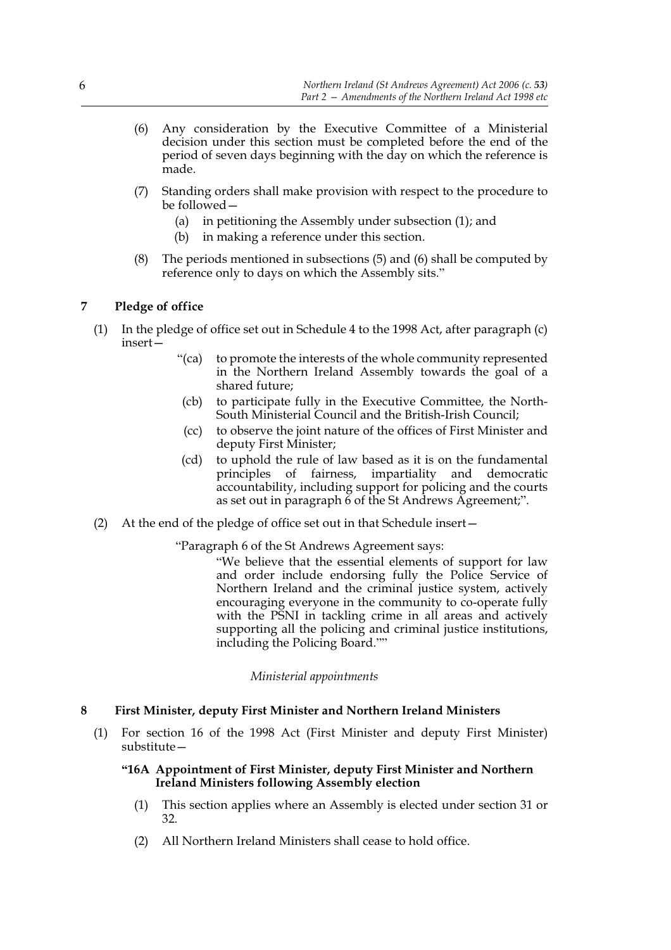- (6) Any consideration by the Executive Committee of a Ministerial decision under this section must be completed before the end of the period of seven days beginning with the day on which the reference is made.
- (7) Standing orders shall make provision with respect to the procedure to be followed—
	- (a) in petitioning the Assembly under subsection (1); and
	- (b) in making a reference under this section.
- (8) The periods mentioned in subsections (5) and (6) shall be computed by reference only to days on which the Assembly sits."

## **7 Pledge of office**

- (1) In the pledge of office set out in Schedule 4 to the 1998 Act, after paragraph (c) insert—
	- "(ca) to promote the interests of the whole community represented in the Northern Ireland Assembly towards the goal of a shared future;
	- (cb) to participate fully in the Executive Committee, the North-South Ministerial Council and the British-Irish Council;
	- (cc) to observe the joint nature of the offices of First Minister and deputy First Minister;
	- (cd) to uphold the rule of law based as it is on the fundamental principles of fairness, impartiality and democratic accountability, including support for policing and the courts as set out in paragraph 6 of the St Andrews Agreement;".
- (2) At the end of the pledge of office set out in that Schedule insert—

"Paragraph 6 of the St Andrews Agreement says:

 "We believe that the essential elements of support for law and order include endorsing fully the Police Service of Northern Ireland and the criminal justice system, actively encouraging everyone in the community to co-operate fully with the PSNI in tackling crime in all areas and actively supporting all the policing and criminal justice institutions, including the Policing Board.""

## *Ministerial appointments*

## **8 First Minister, deputy First Minister and Northern Ireland Ministers**

(1) For section 16 of the 1998 Act (First Minister and deputy First Minister) substitute—

## **"16A Appointment of First Minister, deputy First Minister and Northern Ireland Ministers following Assembly election**

- (1) This section applies where an Assembly is elected under section 31 or 32.
- (2) All Northern Ireland Ministers shall cease to hold office.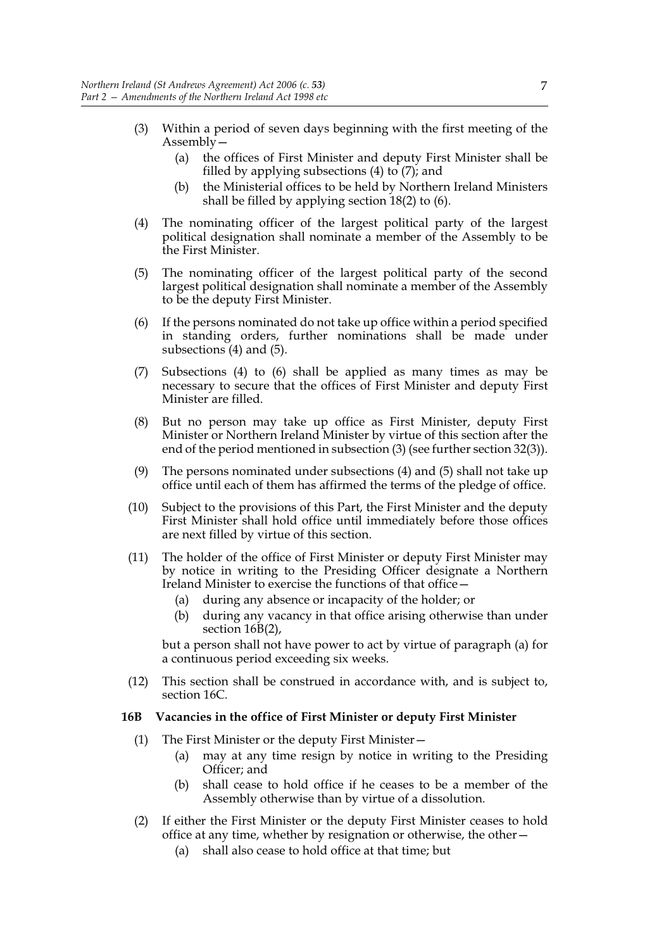- (3) Within a period of seven days beginning with the first meeting of the Assembly—
	- (a) the offices of First Minister and deputy First Minister shall be filled by applying subsections (4) to (7); and
	- (b) the Ministerial offices to be held by Northern Ireland Ministers shall be filled by applying section 18(2) to (6).
- (4) The nominating officer of the largest political party of the largest political designation shall nominate a member of the Assembly to be the First Minister.
- (5) The nominating officer of the largest political party of the second largest political designation shall nominate a member of the Assembly to be the deputy First Minister.
- (6) If the persons nominated do not take up office within a period specified in standing orders, further nominations shall be made under subsections (4) and (5).
- (7) Subsections (4) to (6) shall be applied as many times as may be necessary to secure that the offices of First Minister and deputy First Minister are filled.
- (8) But no person may take up office as First Minister, deputy First Minister or Northern Ireland Minister by virtue of this section after the end of the period mentioned in subsection (3) (see further section 32(3)).
- (9) The persons nominated under subsections (4) and (5) shall not take up office until each of them has affirmed the terms of the pledge of office.
- (10) Subject to the provisions of this Part, the First Minister and the deputy First Minister shall hold office until immediately before those offices are next filled by virtue of this section.
- (11) The holder of the office of First Minister or deputy First Minister may by notice in writing to the Presiding Officer designate a Northern Ireland Minister to exercise the functions of that office—
	- (a) during any absence or incapacity of the holder; or
	- (b) during any vacancy in that office arising otherwise than under section 16B(2),

but a person shall not have power to act by virtue of paragraph (a) for a continuous period exceeding six weeks.

(12) This section shall be construed in accordance with, and is subject to, section 16C.

#### **16B Vacancies in the office of First Minister or deputy First Minister**

- (1) The First Minister or the deputy First Minister—
	- (a) may at any time resign by notice in writing to the Presiding Officer; and
	- (b) shall cease to hold office if he ceases to be a member of the Assembly otherwise than by virtue of a dissolution.
- (2) If either the First Minister or the deputy First Minister ceases to hold office at any time, whether by resignation or otherwise, the other—
	- (a) shall also cease to hold office at that time; but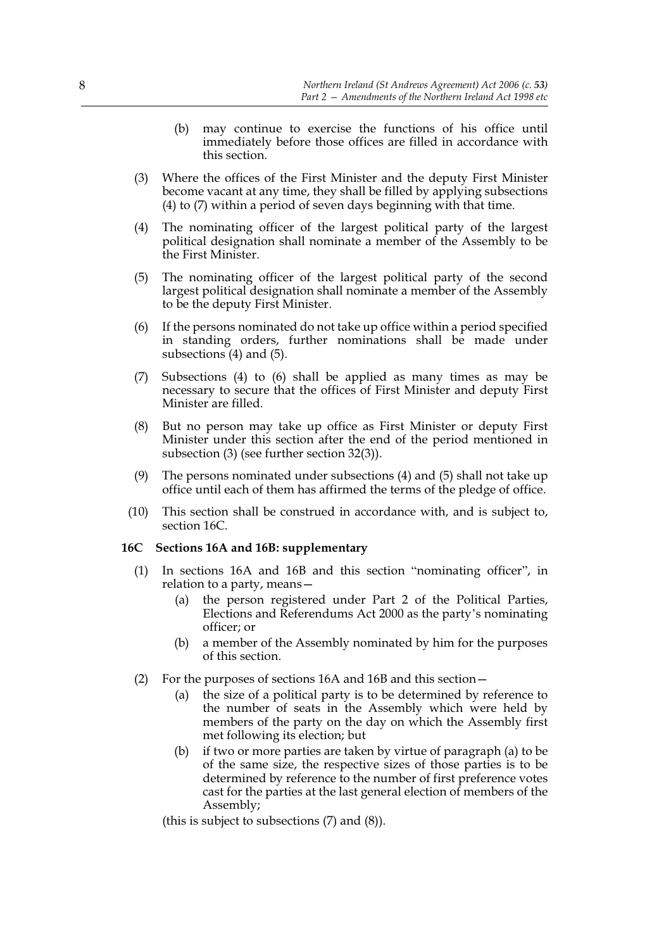- (b) may continue to exercise the functions of his office until immediately before those offices are filled in accordance with this section.
- (3) Where the offices of the First Minister and the deputy First Minister become vacant at any time, they shall be filled by applying subsections (4) to (7) within a period of seven days beginning with that time.
- (4) The nominating officer of the largest political party of the largest political designation shall nominate a member of the Assembly to be the First Minister.
- (5) The nominating officer of the largest political party of the second largest political designation shall nominate a member of the Assembly to be the deputy First Minister.
- (6) If the persons nominated do not take up office within a period specified in standing orders, further nominations shall be made under subsections  $(4)$  and  $(5)$ .
- (7) Subsections (4) to (6) shall be applied as many times as may be necessary to secure that the offices of First Minister and deputy First Minister are filled.
- (8) But no person may take up office as First Minister or deputy First Minister under this section after the end of the period mentioned in subsection (3) (see further section 32(3)).
- (9) The persons nominated under subsections (4) and (5) shall not take up office until each of them has affirmed the terms of the pledge of office.
- (10) This section shall be construed in accordance with, and is subject to, section 16C.

## **16C Sections 16A and 16B: supplementary**

- (1) In sections 16A and 16B and this section "nominating officer", in relation to a party, means—
	- (a) the person registered under Part 2 of the Political Parties, Elections and Referendums Act 2000 as the party's nominating officer; or
	- (b) a member of the Assembly nominated by him for the purposes of this section.
- (2) For the purposes of sections 16A and 16B and this section—
	- (a) the size of a political party is to be determined by reference to the number of seats in the Assembly which were held by members of the party on the day on which the Assembly first met following its election; but
	- (b) if two or more parties are taken by virtue of paragraph (a) to be of the same size, the respective sizes of those parties is to be determined by reference to the number of first preference votes cast for the parties at the last general election of members of the Assembly;

(this is subject to subsections (7) and (8)).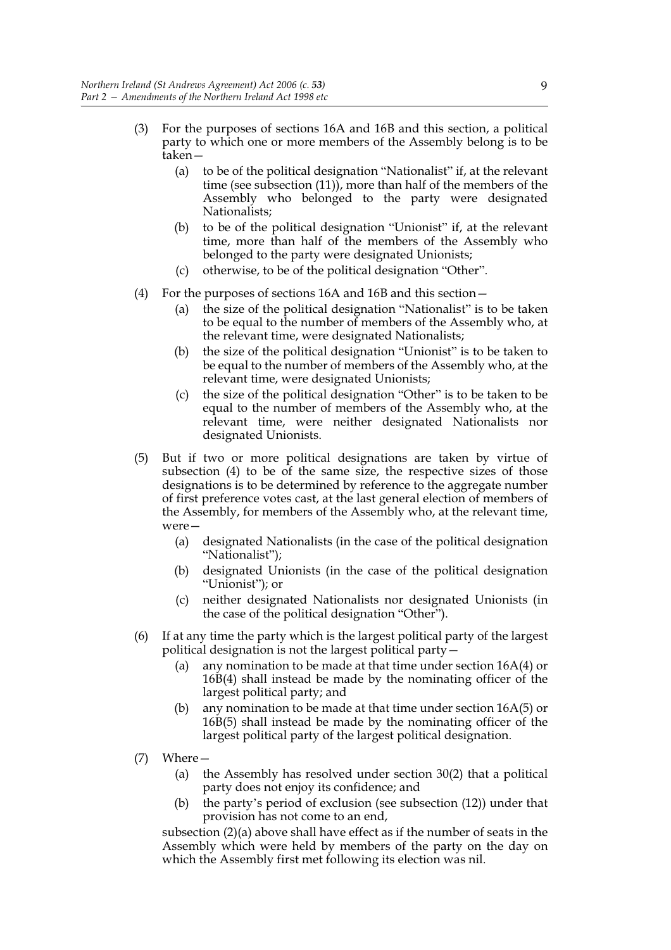- (3) For the purposes of sections 16A and 16B and this section, a political party to which one or more members of the Assembly belong is to be taken—
	- (a) to be of the political designation "Nationalist" if, at the relevant time (see subsection (11)), more than half of the members of the Assembly who belonged to the party were designated Nationalists;
	- (b) to be of the political designation "Unionist" if, at the relevant time, more than half of the members of the Assembly who belonged to the party were designated Unionists;
	- (c) otherwise, to be of the political designation "Other".
- (4) For the purposes of sections 16A and 16B and this section—
	- (a) the size of the political designation "Nationalist" is to be taken to be equal to the number of members of the Assembly who, at the relevant time, were designated Nationalists;
	- (b) the size of the political designation "Unionist" is to be taken to be equal to the number of members of the Assembly who, at the relevant time, were designated Unionists;
	- (c) the size of the political designation "Other" is to be taken to be equal to the number of members of the Assembly who, at the relevant time, were neither designated Nationalists nor designated Unionists.
- (5) But if two or more political designations are taken by virtue of subsection (4) to be of the same size, the respective sizes of those designations is to be determined by reference to the aggregate number of first preference votes cast, at the last general election of members of the Assembly, for members of the Assembly who, at the relevant time, were—
	- (a) designated Nationalists (in the case of the political designation "Nationalist");
	- (b) designated Unionists (in the case of the political designation "Unionist"); or
	- (c) neither designated Nationalists nor designated Unionists (in the case of the political designation "Other").
- (6) If at any time the party which is the largest political party of the largest political designation is not the largest political party—
	- (a) any nomination to be made at that time under section 16A(4) or 16B(4) shall instead be made by the nominating officer of the largest political party; and
	- (b) any nomination to be made at that time under section 16A(5) or 16B(5) shall instead be made by the nominating officer of the largest political party of the largest political designation.
- (7) Where—
	- (a) the Assembly has resolved under section 30(2) that a political party does not enjoy its confidence; and
	- (b) the party's period of exclusion (see subsection (12)) under that provision has not come to an end,

subsection (2)(a) above shall have effect as if the number of seats in the Assembly which were held by members of the party on the day on which the Assembly first met following its election was nil.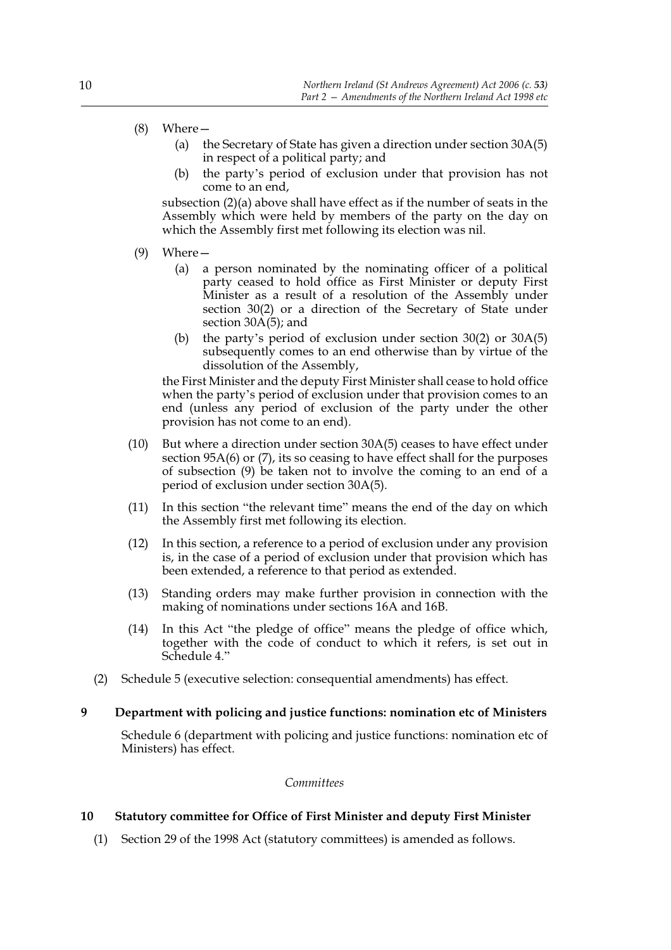## (8) Where—

- (a) the Secretary of State has given a direction under section 30A(5) in respect of a political party; and
- (b) the party's period of exclusion under that provision has not come to an end,

subsection (2)(a) above shall have effect as if the number of seats in the Assembly which were held by members of the party on the day on which the Assembly first met following its election was nil.

- (9) Where—
	- (a) a person nominated by the nominating officer of a political party ceased to hold office as First Minister or deputy First Minister as a result of a resolution of the Assembly under section 30(2) or a direction of the Secretary of State under section 30A(5); and
	- (b) the party's period of exclusion under section 30(2) or 30A(5) subsequently comes to an end otherwise than by virtue of the dissolution of the Assembly,

the First Minister and the deputy First Minister shall cease to hold office when the party's period of exclusion under that provision comes to an end (unless any period of exclusion of the party under the other provision has not come to an end).

- (10) But where a direction under section 30A(5) ceases to have effect under section 95A(6) or (7), its so ceasing to have effect shall for the purposes of subsection (9) be taken not to involve the coming to an end of a period of exclusion under section 30A(5).
- (11) In this section "the relevant time" means the end of the day on which the Assembly first met following its election.
- (12) In this section, a reference to a period of exclusion under any provision is, in the case of a period of exclusion under that provision which has been extended, a reference to that period as extended.
- (13) Standing orders may make further provision in connection with the making of nominations under sections 16A and 16B.
- (14) In this Act "the pledge of office" means the pledge of office which, together with the code of conduct to which it refers, is set out in Schedule 4."
- (2) Schedule 5 (executive selection: consequential amendments) has effect.

#### **9 Department with policing and justice functions: nomination etc of Ministers**

Schedule 6 (department with policing and justice functions: nomination etc of Ministers) has effect.

#### *Committees*

## **10 Statutory committee for Office of First Minister and deputy First Minister**

(1) Section 29 of the 1998 Act (statutory committees) is amended as follows.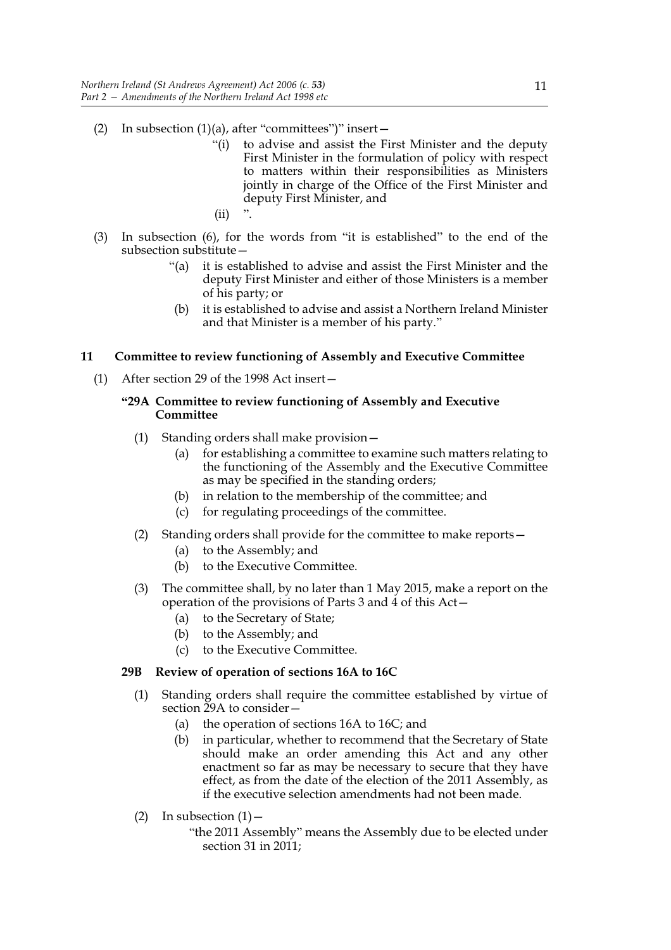- (2) In subsection  $(1)(a)$ , after "committees")" insert
	- "(i) to advise and assist the First Minister and the deputy First Minister in the formulation of policy with respect to matters within their responsibilities as Ministers jointly in charge of the Office of the First Minister and deputy First Minister, and
	- $(ii)$
- (3) In subsection (6), for the words from "it is established" to the end of the subsection substitute—
	- "(a) it is established to advise and assist the First Minister and the deputy First Minister and either of those Ministers is a member of his party; or
	- (b) it is established to advise and assist a Northern Ireland Minister and that Minister is a member of his party."

## **11 Committee to review functioning of Assembly and Executive Committee**

(1) After section 29 of the 1998 Act insert—

## **"29A Committee to review functioning of Assembly and Executive Committee**

- (1) Standing orders shall make provision—
	- (a) for establishing a committee to examine such matters relating to the functioning of the Assembly and the Executive Committee as may be specified in the standing orders;
	- (b) in relation to the membership of the committee; and
	- (c) for regulating proceedings of the committee.
- (2) Standing orders shall provide for the committee to make reports—
	- (a) to the Assembly; and
	- (b) to the Executive Committee.
- (3) The committee shall, by no later than 1 May 2015, make a report on the operation of the provisions of Parts 3 and 4 of this Act—
	- (a) to the Secretary of State;
	- (b) to the Assembly; and
	- (c) to the Executive Committee.

## **29B Review of operation of sections 16A to 16C**

- (1) Standing orders shall require the committee established by virtue of section 29A to consider—
	- (a) the operation of sections 16A to 16C; and
	- (b) in particular, whether to recommend that the Secretary of State should make an order amending this Act and any other enactment so far as may be necessary to secure that they have effect, as from the date of the election of the 2011 Assembly, as if the executive selection amendments had not been made.
- (2) In subsection  $(1)$ 
	- "the 2011 Assembly" means the Assembly due to be elected under section 31 in 2011;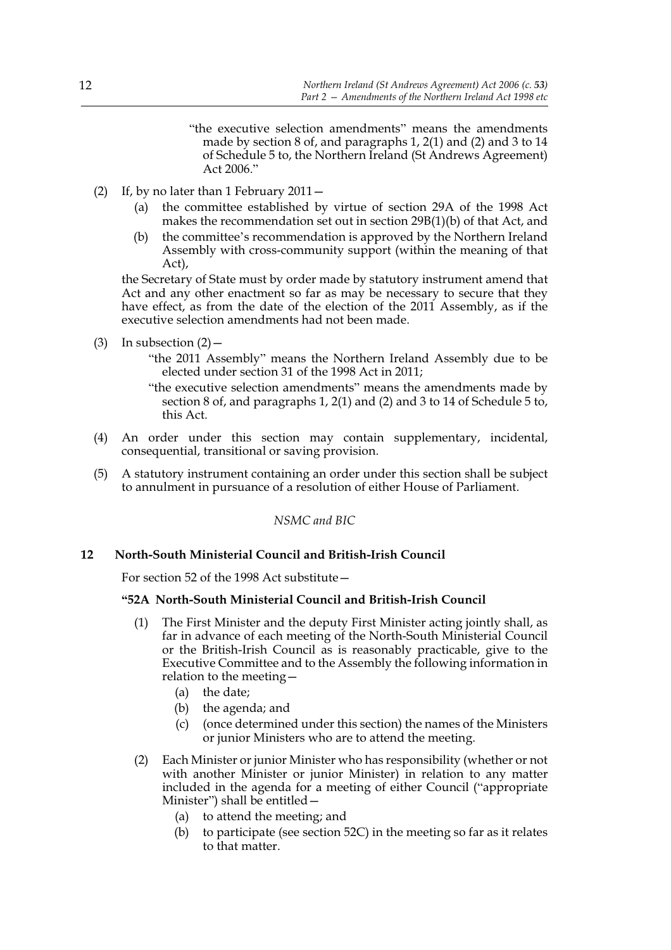"the executive selection amendments" means the amendments made by section 8 of, and paragraphs 1, 2(1) and (2) and 3 to 14 of Schedule 5 to, the Northern Ireland (St Andrews Agreement) Act 2006."

- (2) If, by no later than 1 February 2011—
	- (a) the committee established by virtue of section 29A of the 1998 Act makes the recommendation set out in section 29B(1)(b) of that Act, and
	- (b) the committee's recommendation is approved by the Northern Ireland Assembly with cross-community support (within the meaning of that Act),

the Secretary of State must by order made by statutory instrument amend that Act and any other enactment so far as may be necessary to secure that they have effect, as from the date of the election of the 2011 Assembly, as if the executive selection amendments had not been made.

- (3) In subsection  $(2)$ 
	- "the 2011 Assembly" means the Northern Ireland Assembly due to be elected under section 31 of the 1998 Act in 2011;
	- "the executive selection amendments" means the amendments made by section 8 of, and paragraphs 1, 2(1) and (2) and 3 to 14 of Schedule 5 to, this Act.
- (4) An order under this section may contain supplementary, incidental, consequential, transitional or saving provision.
- (5) A statutory instrument containing an order under this section shall be subject to annulment in pursuance of a resolution of either House of Parliament.

## *NSMC and BIC*

## **12 North-South Ministerial Council and British-Irish Council**

For section 52 of the 1998 Act substitute—

## **"52A North-South Ministerial Council and British-Irish Council**

- (1) The First Minister and the deputy First Minister acting jointly shall, as far in advance of each meeting of the North-South Ministerial Council or the British-Irish Council as is reasonably practicable, give to the Executive Committee and to the Assembly the following information in relation to the meeting—
	- (a) the date;
	- (b) the agenda; and
	- (c) (once determined under this section) the names of the Ministers or junior Ministers who are to attend the meeting.
- (2) Each Minister or junior Minister who has responsibility (whether or not with another Minister or junior Minister) in relation to any matter included in the agenda for a meeting of either Council ("appropriate Minister") shall be entitled—
	- (a) to attend the meeting; and
	- (b) to participate (see section 52C) in the meeting so far as it relates to that matter.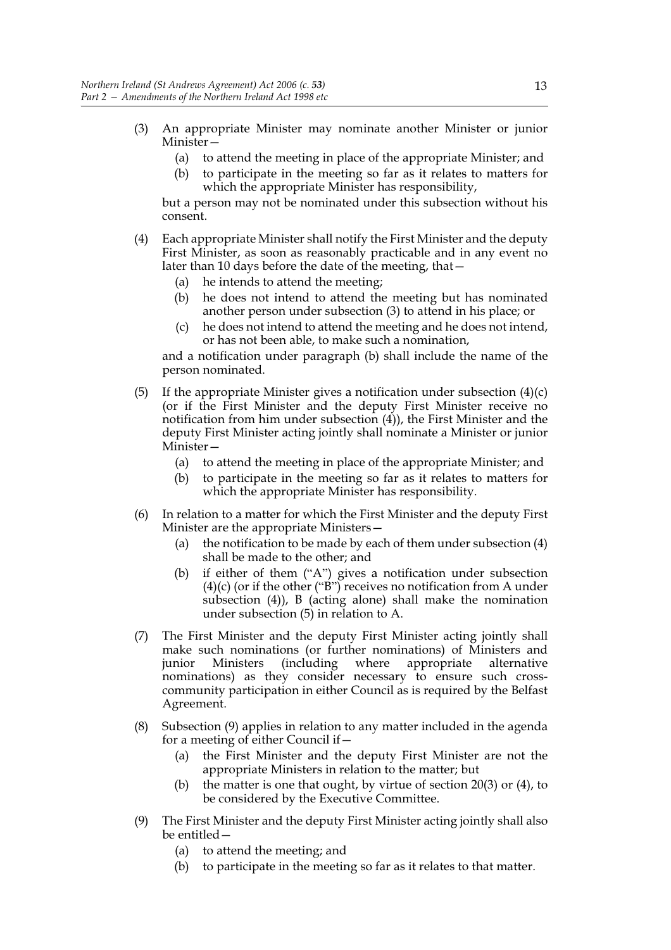- (3) An appropriate Minister may nominate another Minister or junior Minister—
	- (a) to attend the meeting in place of the appropriate Minister; and
	- (b) to participate in the meeting so far as it relates to matters for which the appropriate Minister has responsibility,

but a person may not be nominated under this subsection without his consent.

- (4) Each appropriate Minister shall notify the First Minister and the deputy First Minister, as soon as reasonably practicable and in any event no later than 10 days before the date of the meeting, that—
	- (a) he intends to attend the meeting;
	- (b) he does not intend to attend the meeting but has nominated another person under subsection (3) to attend in his place; or
	- (c) he does not intend to attend the meeting and he does not intend, or has not been able, to make such a nomination,

and a notification under paragraph (b) shall include the name of the person nominated.

- (5) If the appropriate Minister gives a notification under subsection  $(4)(c)$ (or if the First Minister and the deputy First Minister receive no notification from him under subsection (4)), the First Minister and the deputy First Minister acting jointly shall nominate a Minister or junior Minister—
	- (a) to attend the meeting in place of the appropriate Minister; and
	- (b) to participate in the meeting so far as it relates to matters for which the appropriate Minister has responsibility.
- (6) In relation to a matter for which the First Minister and the deputy First Minister are the appropriate Ministers—
	- (a) the notification to be made by each of them under subsection (4) shall be made to the other; and
	- (b) if either of them ("A") gives a notification under subsection  $(4)(c)$  (or if the other ("B") receives no notification from A under subsection (4)), B (acting alone) shall make the nomination under subsection (5) in relation to A.
- (7) The First Minister and the deputy First Minister acting jointly shall make such nominations (or further nominations) of Ministers and junior Ministers (including where appropriate alternative nominations) as they consider necessary to ensure such crosscommunity participation in either Council as is required by the Belfast Agreement.
- (8) Subsection (9) applies in relation to any matter included in the agenda for a meeting of either Council if—
	- (a) the First Minister and the deputy First Minister are not the appropriate Ministers in relation to the matter; but
	- (b) the matter is one that ought, by virtue of section 20(3) or (4), to be considered by the Executive Committee.
- (9) The First Minister and the deputy First Minister acting jointly shall also be entitled—
	- (a) to attend the meeting; and
	- (b) to participate in the meeting so far as it relates to that matter.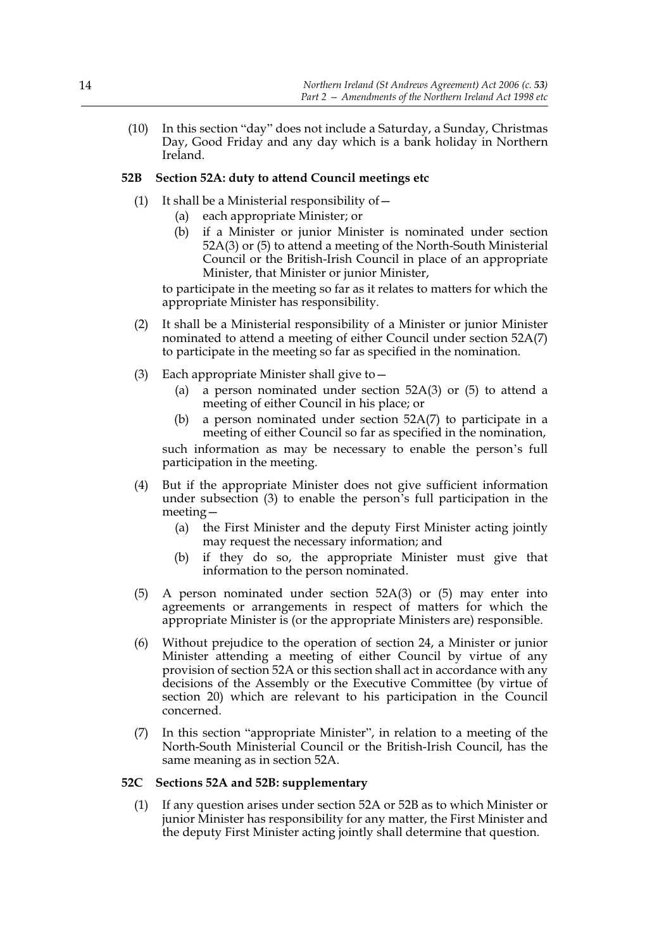(10) In this section "day" does not include a Saturday, a Sunday, Christmas Day, Good Friday and any day which is a bank holiday in Northern Ireland.

## **52B Section 52A: duty to attend Council meetings etc**

- (1) It shall be a Ministerial responsibility of  $-$ 
	- (a) each appropriate Minister; or
	- (b) if a Minister or junior Minister is nominated under section 52A(3) or (5) to attend a meeting of the North-South Ministerial Council or the British-Irish Council in place of an appropriate Minister, that Minister or junior Minister,

to participate in the meeting so far as it relates to matters for which the appropriate Minister has responsibility.

- (2) It shall be a Ministerial responsibility of a Minister or junior Minister nominated to attend a meeting of either Council under section 52A(7) to participate in the meeting so far as specified in the nomination.
- (3) Each appropriate Minister shall give to  $-$ 
	- (a) a person nominated under section  $52A(3)$  or  $(5)$  to attend a meeting of either Council in his place; or
	- (b) a person nominated under section 52A(7) to participate in a meeting of either Council so far as specified in the nomination, such information as may be necessary to enable the person's full participation in the meeting.
- (4) But if the appropriate Minister does not give sufficient information under subsection (3) to enable the person's full participation in the meeting—
	- (a) the First Minister and the deputy First Minister acting jointly may request the necessary information; and
	- (b) if they do so, the appropriate Minister must give that information to the person nominated.
- (5) A person nominated under section 52A(3) or (5) may enter into agreements or arrangements in respect of matters for which the appropriate Minister is (or the appropriate Ministers are) responsible.
- (6) Without prejudice to the operation of section 24, a Minister or junior Minister attending a meeting of either Council by virtue of any provision of section 52A or this section shall act in accordance with any decisions of the Assembly or the Executive Committee (by virtue of section 20) which are relevant to his participation in the Council concerned.
- (7) In this section "appropriate Minister", in relation to a meeting of the North-South Ministerial Council or the British-Irish Council, has the same meaning as in section 52A.

## **52C Sections 52A and 52B: supplementary**

(1) If any question arises under section 52A or 52B as to which Minister or junior Minister has responsibility for any matter, the First Minister and the deputy First Minister acting jointly shall determine that question.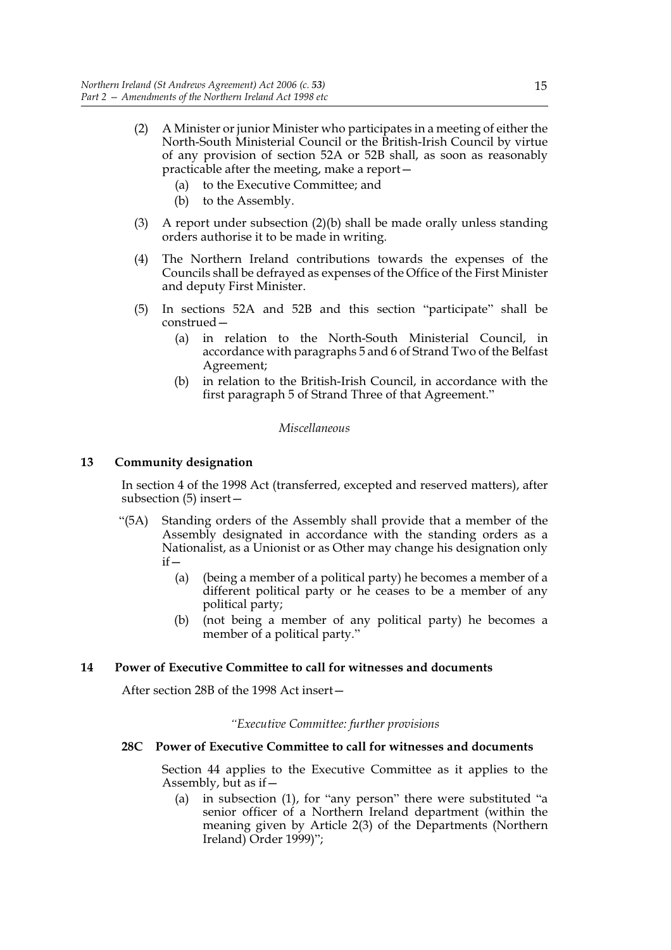- (2) A Minister or junior Minister who participates in a meeting of either the North-South Ministerial Council or the British-Irish Council by virtue of any provision of section 52A or 52B shall, as soon as reasonably practicable after the meeting, make a report—
	- (a) to the Executive Committee; and
	- (b) to the Assembly.
- (3) A report under subsection (2)(b) shall be made orally unless standing orders authorise it to be made in writing.
- (4) The Northern Ireland contributions towards the expenses of the Councils shall be defrayed as expenses of the Office of the First Minister and deputy First Minister.
- (5) In sections 52A and 52B and this section "participate" shall be construed—
	- (a) in relation to the North-South Ministerial Council, in accordance with paragraphs 5 and 6 of Strand Two of the Belfast Agreement;
	- (b) in relation to the British-Irish Council, in accordance with the first paragraph 5 of Strand Three of that Agreement."

#### *Miscellaneous*

## **13 Community designation**

In section 4 of the 1998 Act (transferred, excepted and reserved matters), after subsection (5) insert—

- "(5A) Standing orders of the Assembly shall provide that a member of the Assembly designated in accordance with the standing orders as a Nationalist, as a Unionist or as Other may change his designation only  $if -$ 
	- (a) (being a member of a political party) he becomes a member of a different political party or he ceases to be a member of any political party;
	- (b) (not being a member of any political party) he becomes a member of a political party."

#### **14 Power of Executive Committee to call for witnesses and documents**

After section 28B of the 1998 Act insert—

#### *"Executive Committee: further provisions*

#### **28C Power of Executive Committee to call for witnesses and documents**

Section 44 applies to the Executive Committee as it applies to the Assembly, but as if  $-$ 

(a) in subsection (1), for "any person" there were substituted "a senior officer of a Northern Ireland department (within the meaning given by Article 2(3) of the Departments (Northern Ireland) Order 1999)";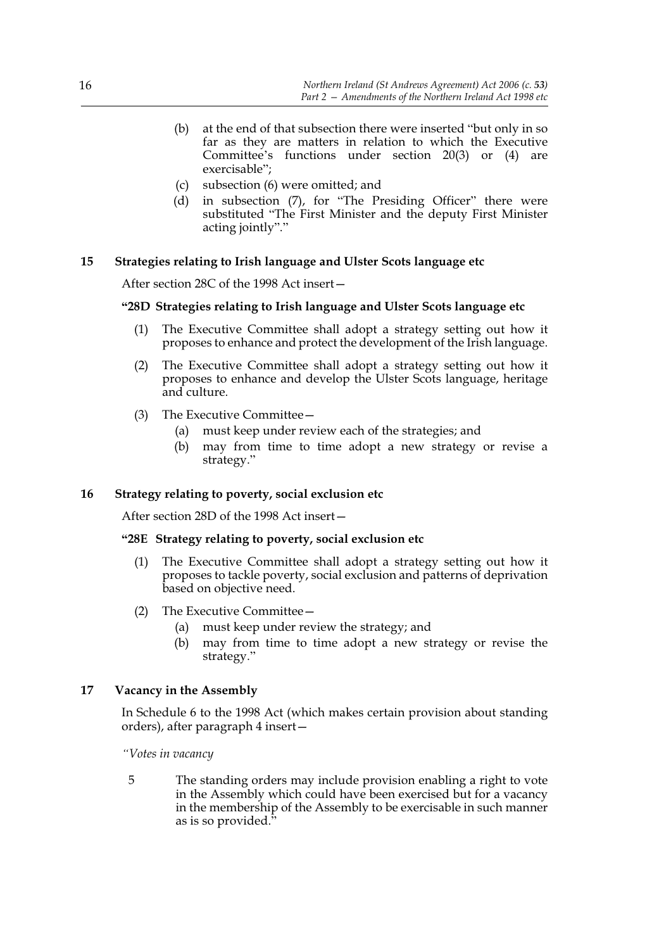- (b) at the end of that subsection there were inserted "but only in so far as they are matters in relation to which the Executive Committee's functions under section 20(3) or (4) are exercisable";
- (c) subsection (6) were omitted; and
- (d) in subsection (7), for "The Presiding Officer" there were substituted "The First Minister and the deputy First Minister acting jointly"."

## **15 Strategies relating to Irish language and Ulster Scots language etc**

After section 28C of the 1998 Act insert—

## **"28D Strategies relating to Irish language and Ulster Scots language etc**

- (1) The Executive Committee shall adopt a strategy setting out how it proposes to enhance and protect the development of the Irish language.
- (2) The Executive Committee shall adopt a strategy setting out how it proposes to enhance and develop the Ulster Scots language, heritage and culture.
- (3) The Executive Committee—
	- (a) must keep under review each of the strategies; and
	- (b) may from time to time adopt a new strategy or revise a strategy."

## **16 Strategy relating to poverty, social exclusion etc**

After section 28D of the 1998 Act insert—

## **"28E Strategy relating to poverty, social exclusion etc**

- (1) The Executive Committee shall adopt a strategy setting out how it proposes to tackle poverty, social exclusion and patterns of deprivation based on objective need.
- (2) The Executive Committee—
	- (a) must keep under review the strategy; and
	- (b) may from time to time adopt a new strategy or revise the strategy."

## **17 Vacancy in the Assembly**

In Schedule 6 to the 1998 Act (which makes certain provision about standing orders), after paragraph 4 insert—

*"Votes in vacancy*

5 The standing orders may include provision enabling a right to vote in the Assembly which could have been exercised but for a vacancy in the membership of the Assembly to be exercisable in such manner as is so provided."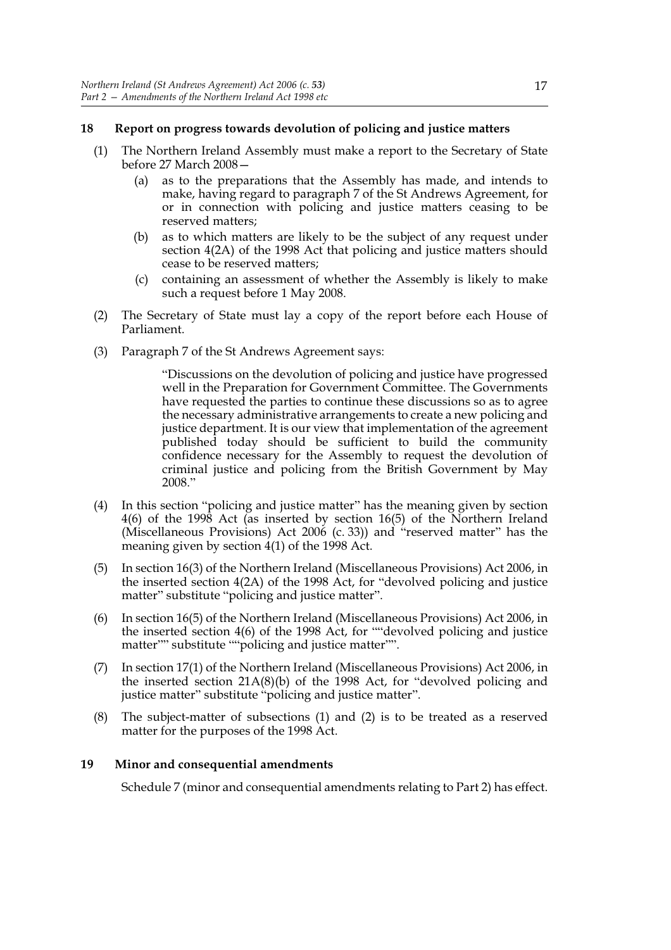## **18 Report on progress towards devolution of policing and justice matters**

- (1) The Northern Ireland Assembly must make a report to the Secretary of State before 27 March 2008—
	- (a) as to the preparations that the Assembly has made, and intends to make, having regard to paragraph 7 of the St Andrews Agreement, for or in connection with policing and justice matters ceasing to be reserved matters;
	- (b) as to which matters are likely to be the subject of any request under section 4(2A) of the 1998 Act that policing and justice matters should cease to be reserved matters;
	- (c) containing an assessment of whether the Assembly is likely to make such a request before 1 May 2008.
- (2) The Secretary of State must lay a copy of the report before each House of Parliament.
- (3) Paragraph 7 of the St Andrews Agreement says:

 "Discussions on the devolution of policing and justice have progressed well in the Preparation for Government Committee. The Governments have requested the parties to continue these discussions so as to agree the necessary administrative arrangements to create a new policing and justice department. It is our view that implementation of the agreement published today should be sufficient to build the community confidence necessary for the Assembly to request the devolution of criminal justice and policing from the British Government by May 2008."

- (4) In this section "policing and justice matter" has the meaning given by section 4(6) of the 1998 Act (as inserted by section 16(5) of the Northern Ireland (Miscellaneous Provisions) Act 2006 (c. 33)) and "reserved matter" has the meaning given by section 4(1) of the 1998 Act.
- (5) In section 16(3) of the Northern Ireland (Miscellaneous Provisions) Act 2006, in the inserted section 4(2A) of the 1998 Act, for "devolved policing and justice matter" substitute "policing and justice matter".
- (6) In section 16(5) of the Northern Ireland (Miscellaneous Provisions) Act 2006, in the inserted section 4(6) of the 1998 Act, for ""devolved policing and justice matter"" substitute ""policing and justice matter"".
- (7) In section 17(1) of the Northern Ireland (Miscellaneous Provisions) Act 2006, in the inserted section 21A(8)(b) of the 1998 Act, for "devolved policing and justice matter" substitute "policing and justice matter".
- (8) The subject-matter of subsections (1) and (2) is to be treated as a reserved matter for the purposes of the 1998 Act.

## **19 Minor and consequential amendments**

Schedule 7 (minor and consequential amendments relating to Part 2) has effect.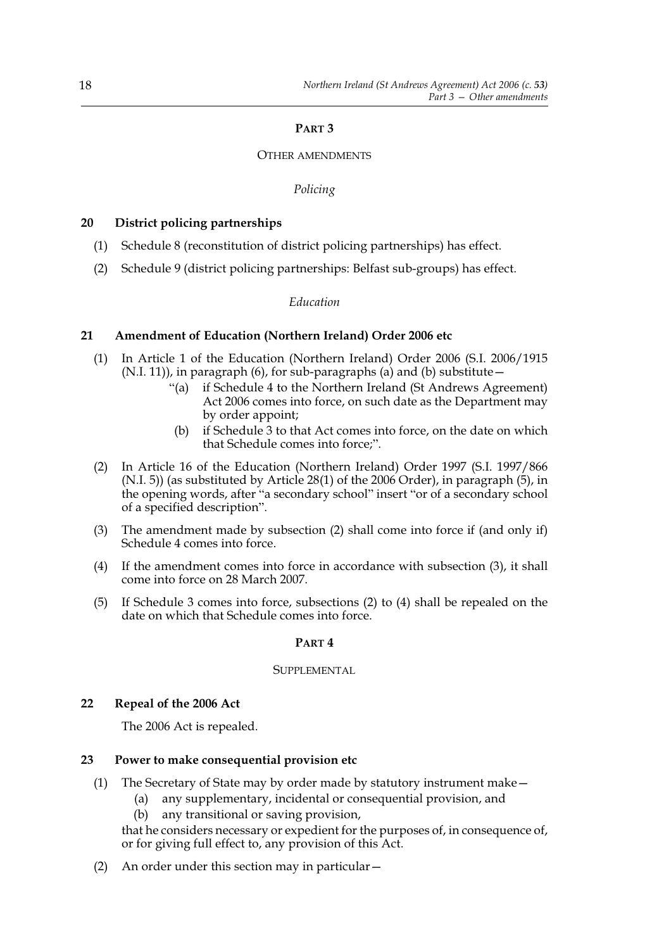## **PART 3**

## OTHER AMENDMENTS

## *Policing*

## **20 District policing partnerships**

- (1) Schedule 8 (reconstitution of district policing partnerships) has effect.
- (2) Schedule 9 (district policing partnerships: Belfast sub-groups) has effect.

#### *Education*

## **21 Amendment of Education (Northern Ireland) Order 2006 etc**

- (1) In Article 1 of the Education (Northern Ireland) Order 2006 (S.I. 2006/1915 (N.I. 11)), in paragraph (6), for sub-paragraphs (a) and (b) substitute—
	- "(a) if Schedule 4 to the Northern Ireland (St Andrews Agreement) Act 2006 comes into force, on such date as the Department may by order appoint;
	- (b) if Schedule 3 to that Act comes into force, on the date on which that Schedule comes into force;".
- (2) In Article 16 of the Education (Northern Ireland) Order 1997 (S.I. 1997/866 (N.I. 5)) (as substituted by Article 28(1) of the 2006 Order), in paragraph (5), in the opening words, after "a secondary school" insert "or of a secondary school of a specified description".
- (3) The amendment made by subsection (2) shall come into force if (and only if) Schedule 4 comes into force.
- (4) If the amendment comes into force in accordance with subsection (3), it shall come into force on 28 March 2007.
- (5) If Schedule 3 comes into force, subsections (2) to (4) shall be repealed on the date on which that Schedule comes into force.

#### **PART 4**

#### SUPPLEMENTAL

## **22 Repeal of the 2006 Act**

The 2006 Act is repealed.

## **23 Power to make consequential provision etc**

- (1) The Secretary of State may by order made by statutory instrument make—
	- (a) any supplementary, incidental or consequential provision, and
	- (b) any transitional or saving provision,

that he considers necessary or expedient for the purposes of, in consequence of, or for giving full effect to, any provision of this Act.

(2) An order under this section may in particular—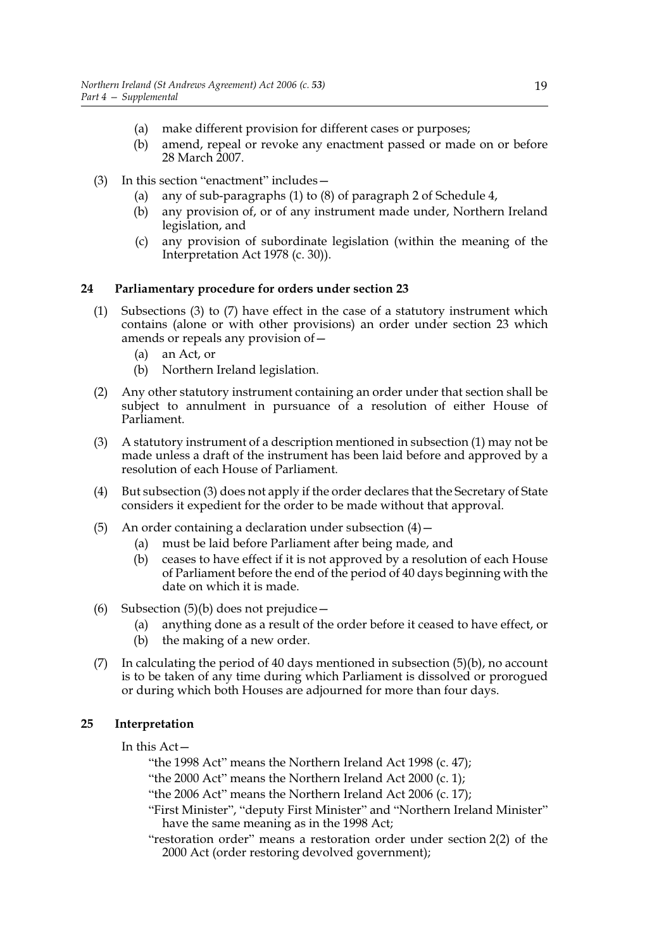- (a) make different provision for different cases or purposes;
- (b) amend, repeal or revoke any enactment passed or made on or before 28 March 2007.
- (3) In this section "enactment" includes—
	- (a) any of sub-paragraphs (1) to (8) of paragraph 2 of Schedule 4,
	- (b) any provision of, or of any instrument made under, Northern Ireland legislation, and
	- (c) any provision of subordinate legislation (within the meaning of the Interpretation Act 1978 (c. 30)).

## **24 Parliamentary procedure for orders under section 23**

- (1) Subsections (3) to (7) have effect in the case of a statutory instrument which contains (alone or with other provisions) an order under section 23 which amends or repeals any provision of—
	- (a) an Act, or
	- (b) Northern Ireland legislation.
- (2) Any other statutory instrument containing an order under that section shall be subject to annulment in pursuance of a resolution of either House of Parliament.
- (3) A statutory instrument of a description mentioned in subsection (1) may not be made unless a draft of the instrument has been laid before and approved by a resolution of each House of Parliament.
- (4) But subsection (3) does not apply if the order declares that the Secretary of State considers it expedient for the order to be made without that approval.
- (5) An order containing a declaration under subsection  $(4)$ 
	- (a) must be laid before Parliament after being made, and
	- (b) ceases to have effect if it is not approved by a resolution of each House of Parliament before the end of the period of 40 days beginning with the date on which it is made.
- (6) Subsection  $(5)(b)$  does not prejudice
	- (a) anything done as a result of the order before it ceased to have effect, or
	- (b) the making of a new order.
- (7) In calculating the period of 40 days mentioned in subsection (5)(b), no account is to be taken of any time during which Parliament is dissolved or prorogued or during which both Houses are adjourned for more than four days.

## **25 Interpretation**

In this Act—

"the 1998 Act" means the Northern Ireland Act 1998 (c. 47);

"the 2000 Act" means the Northern Ireland Act 2000 (c. 1);

"the 2006 Act" means the Northern Ireland Act 2006 (c. 17);

"First Minister", "deputy First Minister" and "Northern Ireland Minister" have the same meaning as in the 1998 Act;

"restoration order" means a restoration order under section 2(2) of the 2000 Act (order restoring devolved government);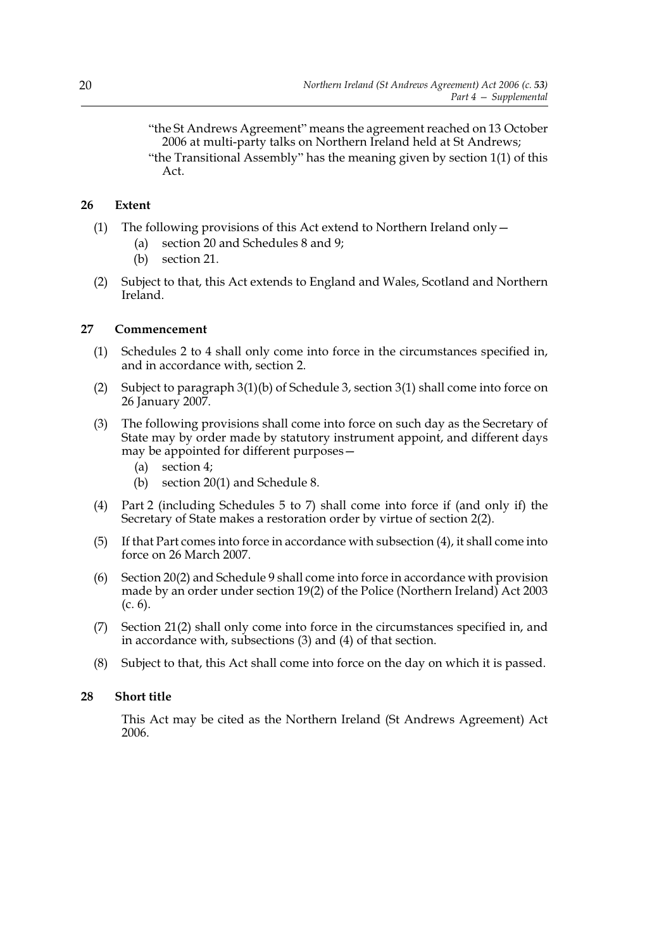"the St Andrews Agreement" means the agreement reached on 13 October 2006 at multi-party talks on Northern Ireland held at St Andrews; "the Transitional Assembly" has the meaning given by section 1(1) of this Act.

## **26 Extent**

- (1) The following provisions of this Act extend to Northern Ireland only—
	- (a) section 20 and Schedules 8 and 9;
	- (b) section 21.
- (2) Subject to that, this Act extends to England and Wales, Scotland and Northern Ireland.

## **27 Commencement**

- (1) Schedules 2 to 4 shall only come into force in the circumstances specified in, and in accordance with, section 2.
- (2) Subject to paragraph 3(1)(b) of Schedule 3, section 3(1) shall come into force on 26 January 2007.
- (3) The following provisions shall come into force on such day as the Secretary of State may by order made by statutory instrument appoint, and different days may be appointed for different purposes—
	- (a) section 4;
	- (b) section 20(1) and Schedule 8.
- (4) Part 2 (including Schedules 5 to 7) shall come into force if (and only if) the Secretary of State makes a restoration order by virtue of section 2(2).
- (5) If that Part comes into force in accordance with subsection (4), it shall come into force on 26 March 2007.
- (6) Section 20(2) and Schedule 9 shall come into force in accordance with provision made by an order under section 19(2) of the Police (Northern Ireland) Act 2003 (c. 6).
- (7) Section 21(2) shall only come into force in the circumstances specified in, and in accordance with, subsections (3) and (4) of that section.
- (8) Subject to that, this Act shall come into force on the day on which it is passed.

## **28 Short title**

This Act may be cited as the Northern Ireland (St Andrews Agreement) Act 2006.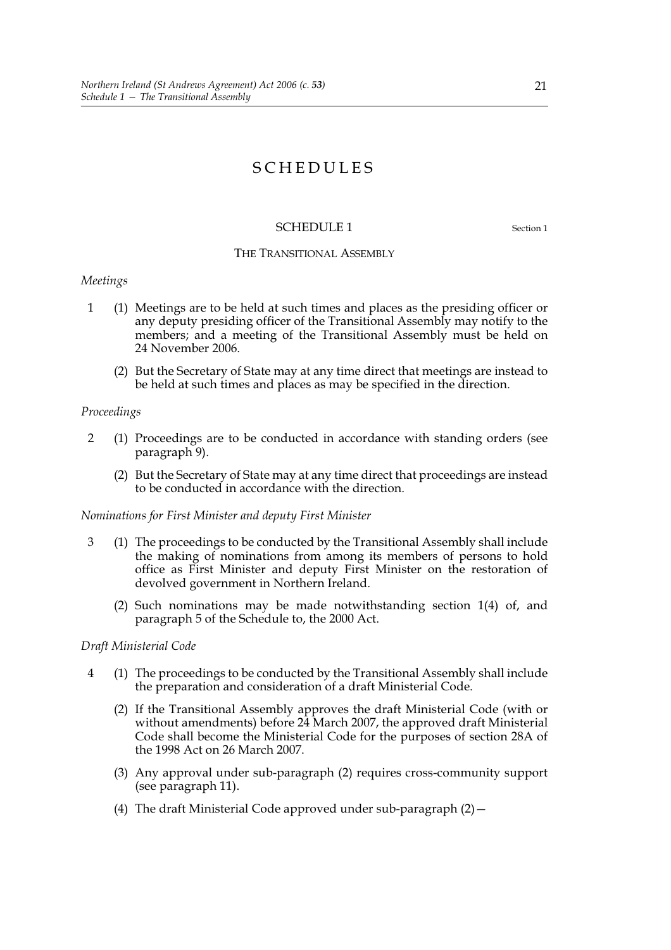# SCHEDULES

## SCHEDULE 1 Section 1

## THE TRANSITIONAL ASSEMBLY

#### *Meetings*

- 1 (1) Meetings are to be held at such times and places as the presiding officer or any deputy presiding officer of the Transitional Assembly may notify to the members; and a meeting of the Transitional Assembly must be held on 24 November 2006.
	- (2) But the Secretary of State may at any time direct that meetings are instead to be held at such times and places as may be specified in the direction.

#### *Proceedings*

- 2 (1) Proceedings are to be conducted in accordance with standing orders (see paragraph 9).
	- (2) But the Secretary of State may at any time direct that proceedings are instead to be conducted in accordance with the direction.

#### *Nominations for First Minister and deputy First Minister*

- 3 (1) The proceedings to be conducted by the Transitional Assembly shall include the making of nominations from among its members of persons to hold office as First Minister and deputy First Minister on the restoration of devolved government in Northern Ireland.
	- (2) Such nominations may be made notwithstanding section 1(4) of, and paragraph 5 of the Schedule to, the 2000 Act.

#### *Draft Ministerial Code*

- 4 (1) The proceedings to be conducted by the Transitional Assembly shall include the preparation and consideration of a draft Ministerial Code.
	- (2) If the Transitional Assembly approves the draft Ministerial Code (with or without amendments) before 24 March 2007, the approved draft Ministerial Code shall become the Ministerial Code for the purposes of section 28A of the 1998 Act on 26 March 2007.
	- (3) Any approval under sub-paragraph (2) requires cross-community support (see paragraph 11).
	- (4) The draft Ministerial Code approved under sub-paragraph (2)—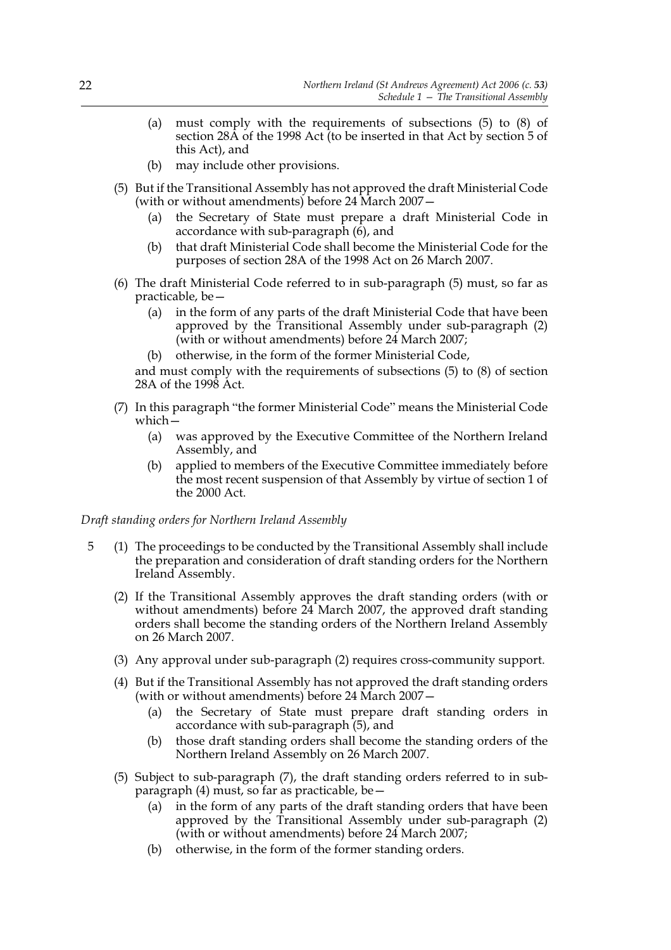- (a) must comply with the requirements of subsections (5) to (8) of section 28A of the 1998 Act (to be inserted in that Act by section 5 of this Act), and
- (b) may include other provisions.
- (5) But if the Transitional Assembly has not approved the draft Ministerial Code (with or without amendments) before 24 March 2007—
	- (a) the Secretary of State must prepare a draft Ministerial Code in accordance with sub-paragraph (6), and
	- (b) that draft Ministerial Code shall become the Ministerial Code for the purposes of section 28A of the 1998 Act on 26 March 2007.
- (6) The draft Ministerial Code referred to in sub-paragraph (5) must, so far as practicable, be—
	- (a) in the form of any parts of the draft Ministerial Code that have been approved by the Transitional Assembly under sub-paragraph (2) (with or without amendments) before 24 March 2007;
	- (b) otherwise, in the form of the former Ministerial Code,

and must comply with the requirements of subsections (5) to (8) of section 28A of the 1998 Act.

- (7) In this paragraph "the former Ministerial Code" means the Ministerial Code which—
	- (a) was approved by the Executive Committee of the Northern Ireland Assembly, and
	- (b) applied to members of the Executive Committee immediately before the most recent suspension of that Assembly by virtue of section 1 of the 2000 Act.

*Draft standing orders for Northern Ireland Assembly*

- 5 (1) The proceedings to be conducted by the Transitional Assembly shall include the preparation and consideration of draft standing orders for the Northern Ireland Assembly.
	- (2) If the Transitional Assembly approves the draft standing orders (with or without amendments) before 24 March 2007, the approved draft standing orders shall become the standing orders of the Northern Ireland Assembly on 26 March 2007.
	- (3) Any approval under sub-paragraph (2) requires cross-community support.
	- (4) But if the Transitional Assembly has not approved the draft standing orders (with or without amendments) before 24 March 2007—
		- (a) the Secretary of State must prepare draft standing orders in accordance with sub-paragraph (5), and
		- (b) those draft standing orders shall become the standing orders of the Northern Ireland Assembly on 26 March 2007.
	- (5) Subject to sub-paragraph (7), the draft standing orders referred to in subparagraph  $(4)$  must, so far as practicable, be  $-$ 
		- (a) in the form of any parts of the draft standing orders that have been approved by the Transitional Assembly under sub-paragraph (2) (with or without amendments) before 24 March 2007;
		- (b) otherwise, in the form of the former standing orders.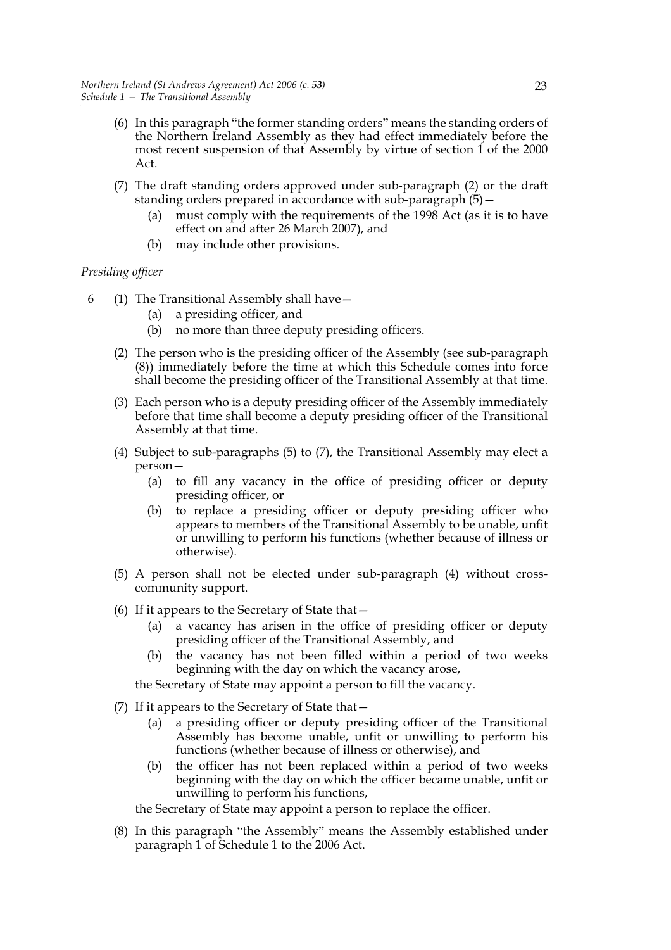- (6) In this paragraph "the former standing orders" means the standing orders of the Northern Ireland Assembly as they had effect immediately before the most recent suspension of that Assembly by virtue of section 1 of the 2000 Act.
- (7) The draft standing orders approved under sub-paragraph (2) or the draft standing orders prepared in accordance with sub-paragraph  $(5)$  -
	- (a) must comply with the requirements of the 1998 Act (as it is to have effect on and after 26 March 2007), and
	- (b) may include other provisions.

## *Presiding officer*

- 6 (1) The Transitional Assembly shall have—
	- (a) a presiding officer, and
	- (b) no more than three deputy presiding officers.
	- (2) The person who is the presiding officer of the Assembly (see sub-paragraph (8)) immediately before the time at which this Schedule comes into force shall become the presiding officer of the Transitional Assembly at that time.
	- (3) Each person who is a deputy presiding officer of the Assembly immediately before that time shall become a deputy presiding officer of the Transitional Assembly at that time.
	- (4) Subject to sub-paragraphs (5) to (7), the Transitional Assembly may elect a person—
		- (a) to fill any vacancy in the office of presiding officer or deputy presiding officer, or
		- (b) to replace a presiding officer or deputy presiding officer who appears to members of the Transitional Assembly to be unable, unfit or unwilling to perform his functions (whether because of illness or otherwise).
	- (5) A person shall not be elected under sub-paragraph (4) without crosscommunity support.
	- (6) If it appears to the Secretary of State that—
		- (a) a vacancy has arisen in the office of presiding officer or deputy presiding officer of the Transitional Assembly, and
		- (b) the vacancy has not been filled within a period of two weeks beginning with the day on which the vacancy arose,

the Secretary of State may appoint a person to fill the vacancy.

- (7) If it appears to the Secretary of State that—
	- (a) a presiding officer or deputy presiding officer of the Transitional Assembly has become unable, unfit or unwilling to perform his functions (whether because of illness or otherwise), and
	- (b) the officer has not been replaced within a period of two weeks beginning with the day on which the officer became unable, unfit or unwilling to perform his functions,

the Secretary of State may appoint a person to replace the officer.

(8) In this paragraph "the Assembly" means the Assembly established under paragraph 1 of Schedule 1 to the 2006 Act.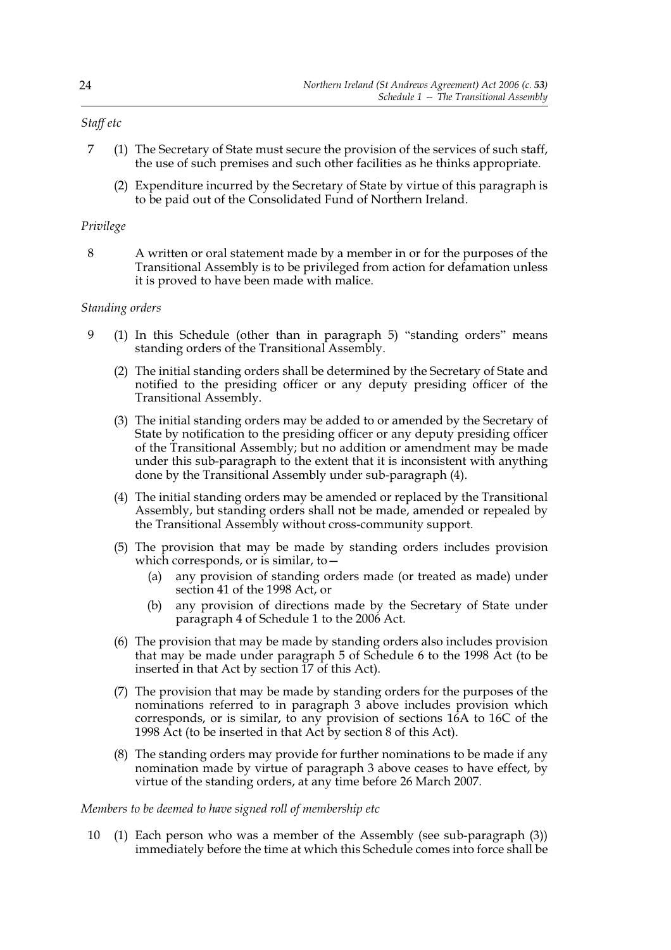## *Staff etc*

- 7 (1) The Secretary of State must secure the provision of the services of such staff, the use of such premises and such other facilities as he thinks appropriate.
	- (2) Expenditure incurred by the Secretary of State by virtue of this paragraph is to be paid out of the Consolidated Fund of Northern Ireland.

## *Privilege*

8 A written or oral statement made by a member in or for the purposes of the Transitional Assembly is to be privileged from action for defamation unless it is proved to have been made with malice.

## *Standing orders*

- 9 (1) In this Schedule (other than in paragraph 5) "standing orders" means standing orders of the Transitional Assembly.
	- (2) The initial standing orders shall be determined by the Secretary of State and notified to the presiding officer or any deputy presiding officer of the Transitional Assembly.
	- (3) The initial standing orders may be added to or amended by the Secretary of State by notification to the presiding officer or any deputy presiding officer of the Transitional Assembly; but no addition or amendment may be made under this sub-paragraph to the extent that it is inconsistent with anything done by the Transitional Assembly under sub-paragraph (4).
	- (4) The initial standing orders may be amended or replaced by the Transitional Assembly, but standing orders shall not be made, amended or repealed by the Transitional Assembly without cross-community support.
	- (5) The provision that may be made by standing orders includes provision which corresponds, or is similar, to—
		- (a) any provision of standing orders made (or treated as made) under section 41 of the 1998 Act, or
		- (b) any provision of directions made by the Secretary of State under paragraph 4 of Schedule 1 to the 2006 Act.
	- (6) The provision that may be made by standing orders also includes provision that may be made under paragraph 5 of Schedule 6 to the 1998 Act (to be inserted in that Act by section 17 of this Act).
	- (7) The provision that may be made by standing orders for the purposes of the nominations referred to in paragraph 3 above includes provision which corresponds, or is similar, to any provision of sections 16A to 16C of the 1998 Act (to be inserted in that Act by section 8 of this Act).
	- (8) The standing orders may provide for further nominations to be made if any nomination made by virtue of paragraph 3 above ceases to have effect, by virtue of the standing orders, at any time before 26 March 2007.

## *Members to be deemed to have signed roll of membership etc*

10 (1) Each person who was a member of the Assembly (see sub-paragraph (3)) immediately before the time at which this Schedule comes into force shall be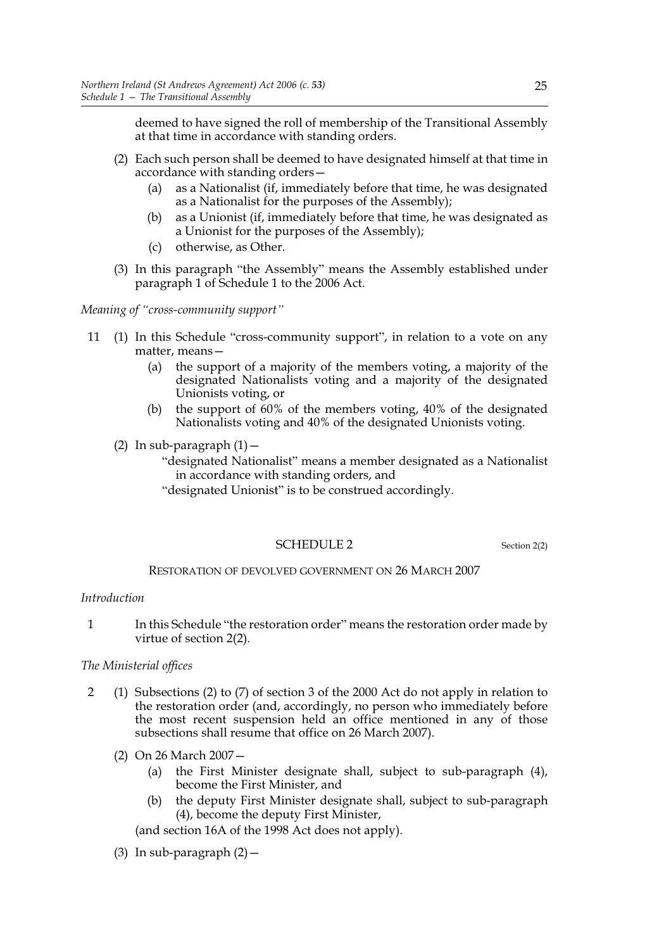deemed to have signed the roll of membership of the Transitional Assembly at that time in accordance with standing orders.

- (2) Each such person shall be deemed to have designated himself at that time in accordance with standing orders—
	- (a) as a Nationalist (if, immediately before that time, he was designated as a Nationalist for the purposes of the Assembly);
	- (b) as a Unionist (if, immediately before that time, he was designated as a Unionist for the purposes of the Assembly);
	- (c) otherwise, as Other.
- (3) In this paragraph "the Assembly" means the Assembly established under paragraph 1 of Schedule 1 to the 2006 Act.

*Meaning of "cross-community support"*

- 11 (1) In this Schedule "cross-community support", in relation to a vote on any matter, means—
	- (a) the support of a majority of the members voting, a majority of the designated Nationalists voting and a majority of the designated Unionists voting, or
	- (b) the support of 60% of the members voting, 40% of the designated Nationalists voting and 40% of the designated Unionists voting.
	- (2) In sub-paragraph  $(1)$  -

"designated Nationalist" means a member designated as a Nationalist in accordance with standing orders, and

"designated Unionist" is to be construed accordingly.

#### SCHEDULE 2 Section 2(2)

#### RESTORATION OF DEVOLVED GOVERNMENT ON 26 MARCH 2007

#### *Introduction*

1 In this Schedule "the restoration order" means the restoration order made by virtue of section 2(2).

#### *The Ministerial offices*

- 2 (1) Subsections (2) to (7) of section 3 of the 2000 Act do not apply in relation to the restoration order (and, accordingly, no person who immediately before the most recent suspension held an office mentioned in any of those subsections shall resume that office on 26 March 2007).
	- (2) On 26 March 2007—
		- (a) the First Minister designate shall, subject to sub-paragraph (4), become the First Minister, and
		- (b) the deputy First Minister designate shall, subject to sub-paragraph (4), become the deputy First Minister,

(and section 16A of the 1998 Act does not apply).

(3) In sub-paragraph  $(2)$  -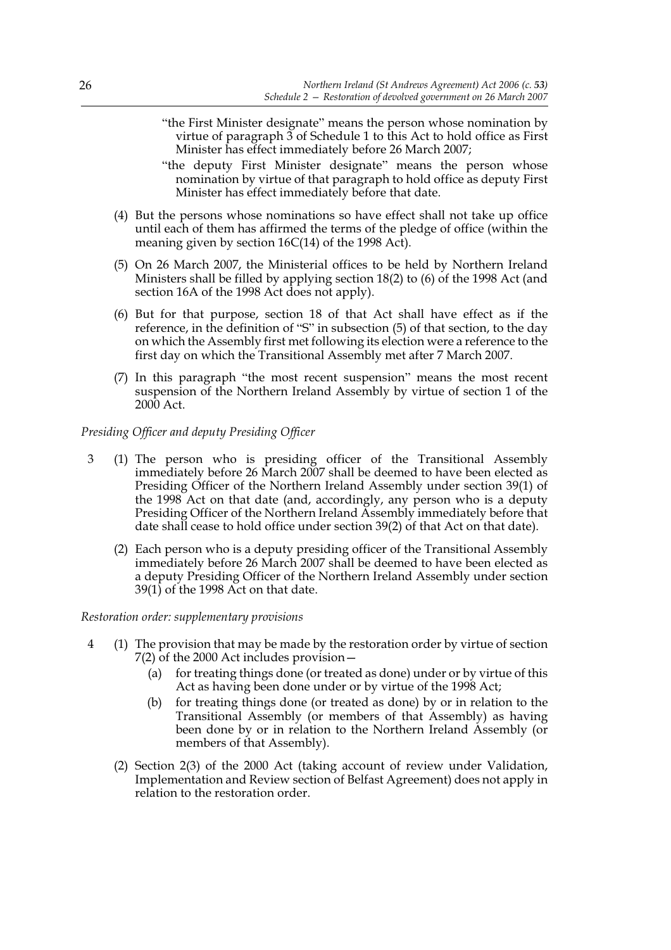- "the First Minister designate" means the person whose nomination by virtue of paragraph 3 of Schedule 1 to this Act to hold office as First Minister has effect immediately before 26 March 2007;
- "the deputy First Minister designate" means the person whose nomination by virtue of that paragraph to hold office as deputy First Minister has effect immediately before that date.
- (4) But the persons whose nominations so have effect shall not take up office until each of them has affirmed the terms of the pledge of office (within the meaning given by section 16C(14) of the 1998 Act).
- (5) On 26 March 2007, the Ministerial offices to be held by Northern Ireland Ministers shall be filled by applying section 18(2) to (6) of the 1998 Act (and section 16A of the 1998 Act does not apply).
- (6) But for that purpose, section 18 of that Act shall have effect as if the reference, in the definition of "S" in subsection (5) of that section, to the day on which the Assembly first met following its election were a reference to the first day on which the Transitional Assembly met after 7 March 2007.
- (7) In this paragraph "the most recent suspension" means the most recent suspension of the Northern Ireland Assembly by virtue of section 1 of the  $2000$  Act.

## *Presiding Officer and deputy Presiding Officer*

- 3 (1) The person who is presiding officer of the Transitional Assembly immediately before 26 March 2007 shall be deemed to have been elected as Presiding Officer of the Northern Ireland Assembly under section 39(1) of the 1998 Act on that date (and, accordingly, any person who is a deputy Presiding Officer of the Northern Ireland Assembly immediately before that date shall cease to hold office under section 39(2) of that Act on that date).
	- (2) Each person who is a deputy presiding officer of the Transitional Assembly immediately before 26 March 2007 shall be deemed to have been elected as a deputy Presiding Officer of the Northern Ireland Assembly under section  $39(1)$  of the 1998 Act on that date.

#### *Restoration order: supplementary provisions*

- 4 (1) The provision that may be made by the restoration order by virtue of section 7(2) of the 2000 Act includes provision—
	- (a) for treating things done (or treated as done) under or by virtue of this Act as having been done under or by virtue of the 1998 Act;
	- (b) for treating things done (or treated as done) by or in relation to the Transitional Assembly (or members of that Assembly) as having been done by or in relation to the Northern Ireland Assembly (or members of that Assembly).
	- (2) Section 2(3) of the 2000 Act (taking account of review under Validation, Implementation and Review section of Belfast Agreement) does not apply in relation to the restoration order.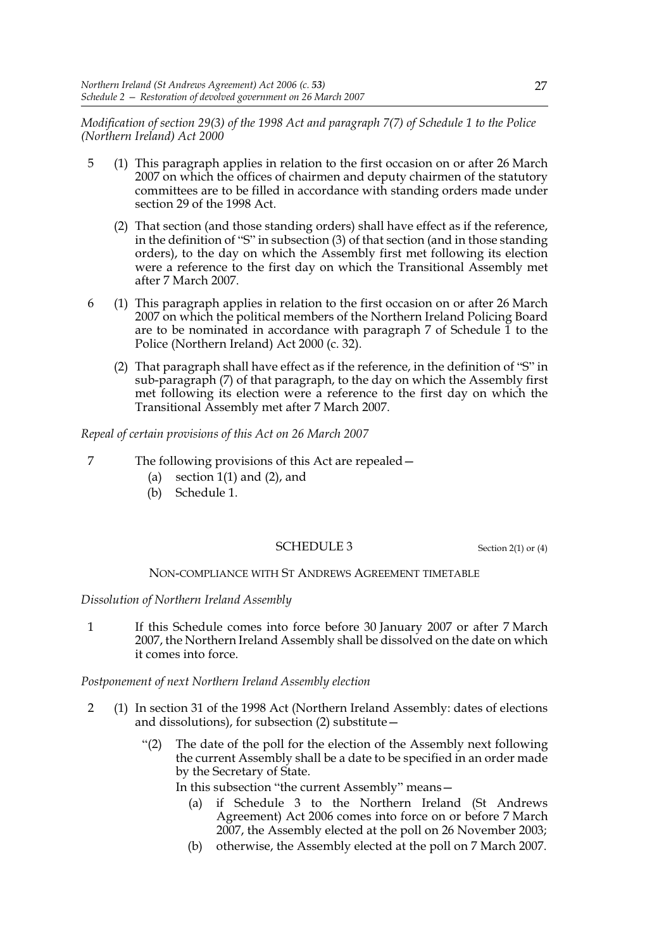*Modification of section 29(3) of the 1998 Act and paragraph 7(7) of Schedule 1 to the Police (Northern Ireland) Act 2000*

- 5 (1) This paragraph applies in relation to the first occasion on or after 26 March 2007 on which the offices of chairmen and deputy chairmen of the statutory committees are to be filled in accordance with standing orders made under section 29 of the 1998 Act.
	- (2) That section (and those standing orders) shall have effect as if the reference, in the definition of "S" in subsection (3) of that section (and in those standing orders), to the day on which the Assembly first met following its election were a reference to the first day on which the Transitional Assembly met after 7 March 2007.
- 6 (1) This paragraph applies in relation to the first occasion on or after 26 March 2007 on which the political members of the Northern Ireland Policing Board are to be nominated in accordance with paragraph  $7$  of Schedule  $1$  to the Police (Northern Ireland) Act 2000 (c. 32).
	- (2) That paragraph shall have effect as if the reference, in the definition of "S" in sub-paragraph (7) of that paragraph, to the day on which the Assembly first met following its election were a reference to the first day on which the Transitional Assembly met after 7 March 2007.

## *Repeal of certain provisions of this Act on 26 March 2007*

- 7 The following provisions of this Act are repealed—
	- (a) section  $1(1)$  and  $(2)$ , and
	- (b) Schedule 1.

#### SCHEDULE 3 Section 2(1) or (4)

## NON-COMPLIANCE WITH ST ANDREWS AGREEMENT TIMETABLE

## *Dissolution of Northern Ireland Assembly*

1 If this Schedule comes into force before 30 January 2007 or after 7 March 2007, the Northern Ireland Assembly shall be dissolved on the date on which it comes into force.

#### *Postponement of next Northern Ireland Assembly election*

- 2 (1) In section 31 of the 1998 Act (Northern Ireland Assembly: dates of elections and dissolutions), for subsection (2) substitute—
	- "(2) The date of the poll for the election of the Assembly next following the current Assembly shall be a date to be specified in an order made by the Secretary of State.
		- In this subsection "the current Assembly" means—
			- (a) if Schedule 3 to the Northern Ireland (St Andrews Agreement) Act 2006 comes into force on or before 7 March 2007, the Assembly elected at the poll on 26 November 2003;
			- (b) otherwise, the Assembly elected at the poll on 7 March 2007.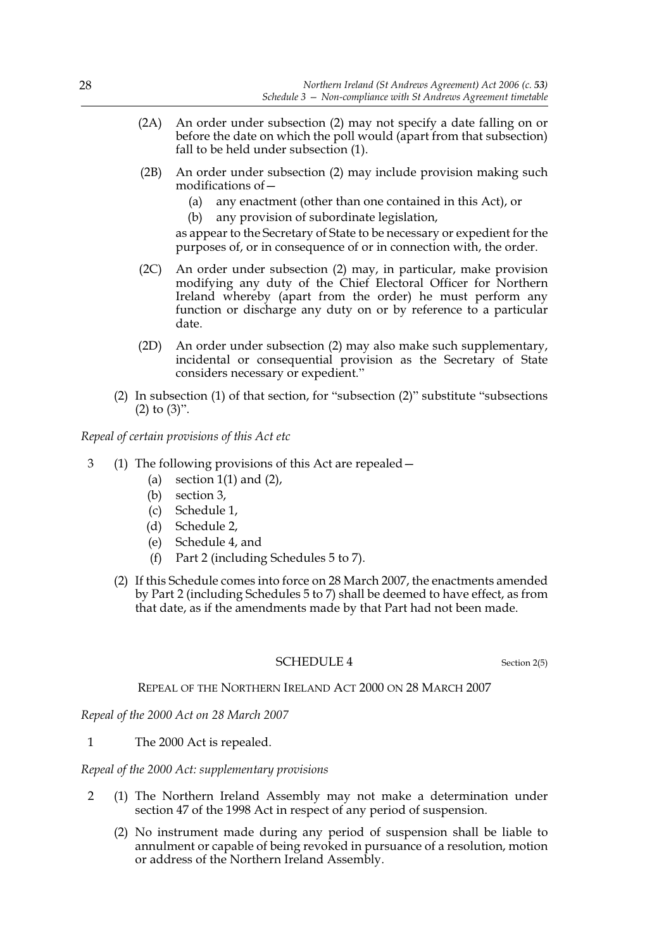- (2A) An order under subsection (2) may not specify a date falling on or before the date on which the poll would (apart from that subsection) fall to be held under subsection (1).
- (2B) An order under subsection (2) may include provision making such modifications of—
	- (a) any enactment (other than one contained in this Act), or
	- (b) any provision of subordinate legislation,

as appear to the Secretary of State to be necessary or expedient for the purposes of, or in consequence of or in connection with, the order.

- (2C) An order under subsection (2) may, in particular, make provision modifying any duty of the Chief Electoral Officer for Northern Ireland whereby (apart from the order) he must perform any function or discharge any duty on or by reference to a particular date.
- (2D) An order under subsection (2) may also make such supplementary, incidental or consequential provision as the Secretary of State considers necessary or expedient."
- (2) In subsection (1) of that section, for "subsection (2)" substitute "subsections  $(2)$  to  $(3)$ ".

*Repeal of certain provisions of this Act etc*

- 3 (1) The following provisions of this Act are repealed—
	- (a) section  $1(1)$  and  $(2)$ ,
	- (b) section 3,
	- (c) Schedule 1,
	- (d) Schedule 2,
	- (e) Schedule 4, and
	- (f) Part 2 (including Schedules 5 to 7).
	- (2) If this Schedule comes into force on 28 March 2007, the enactments amended by Part 2 (including Schedules 5 to 7) shall be deemed to have effect, as from that date, as if the amendments made by that Part had not been made.

## SCHEDULE 4 Section 2(5)

## REPEAL OF THE NORTHERN IRELAND ACT 2000 ON 28 MARCH 2007

*Repeal of the 2000 Act on 28 March 2007*

1 The 2000 Act is repealed.

#### *Repeal of the 2000 Act: supplementary provisions*

- 2 (1) The Northern Ireland Assembly may not make a determination under section 47 of the 1998 Act in respect of any period of suspension.
	- (2) No instrument made during any period of suspension shall be liable to annulment or capable of being revoked in pursuance of a resolution, motion or address of the Northern Ireland Assembly.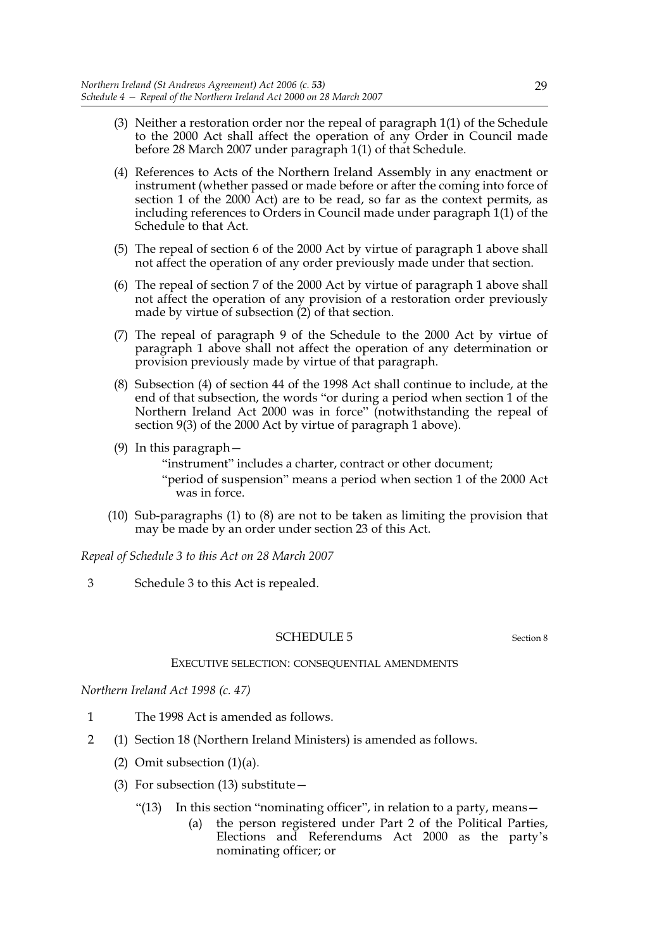- (3) Neither a restoration order nor the repeal of paragraph 1(1) of the Schedule to the 2000 Act shall affect the operation of any Order in Council made before 28 March 2007 under paragraph 1(1) of that Schedule.
- (4) References to Acts of the Northern Ireland Assembly in any enactment or instrument (whether passed or made before or after the coming into force of section 1 of the 2000 Act) are to be read, so far as the context permits, as including references to Orders in Council made under paragraph 1(1) of the Schedule to that Act.
- (5) The repeal of section 6 of the 2000 Act by virtue of paragraph 1 above shall not affect the operation of any order previously made under that section.
- (6) The repeal of section 7 of the 2000 Act by virtue of paragraph 1 above shall not affect the operation of any provision of a restoration order previously made by virtue of subsection (2) of that section.
- (7) The repeal of paragraph 9 of the Schedule to the 2000 Act by virtue of paragraph 1 above shall not affect the operation of any determination or provision previously made by virtue of that paragraph.
- (8) Subsection (4) of section 44 of the 1998 Act shall continue to include, at the end of that subsection, the words "or during a period when section 1 of the Northern Ireland Act 2000 was in force" (notwithstanding the repeal of section 9(3) of the 2000 Act by virtue of paragraph 1 above).
- (9) In this paragraph—
	- "instrument" includes a charter, contract or other document; "period of suspension" means a period when section 1 of the 2000 Act was in force.
- (10) Sub-paragraphs (1) to (8) are not to be taken as limiting the provision that may be made by an order under section 23 of this Act.

*Repeal of Schedule 3 to this Act on 28 March 2007*

3 Schedule 3 to this Act is repealed.

## SCHEDULE 5 Section 8

## EXECUTIVE SELECTION: CONSEQUENTIAL AMENDMENTS

*Northern Ireland Act 1998 (c. 47)*

- 1 The 1998 Act is amended as follows.
- 2 (1) Section 18 (Northern Ireland Ministers) is amended as follows.
	- (2) Omit subsection  $(1)(a)$ .
	- (3) For subsection  $(13)$  substitute  $-$ 
		- "(13) In this section "nominating officer", in relation to a party, means—
			- (a) the person registered under Part 2 of the Political Parties, Elections and Referendums Act 2000 as the party's nominating officer; or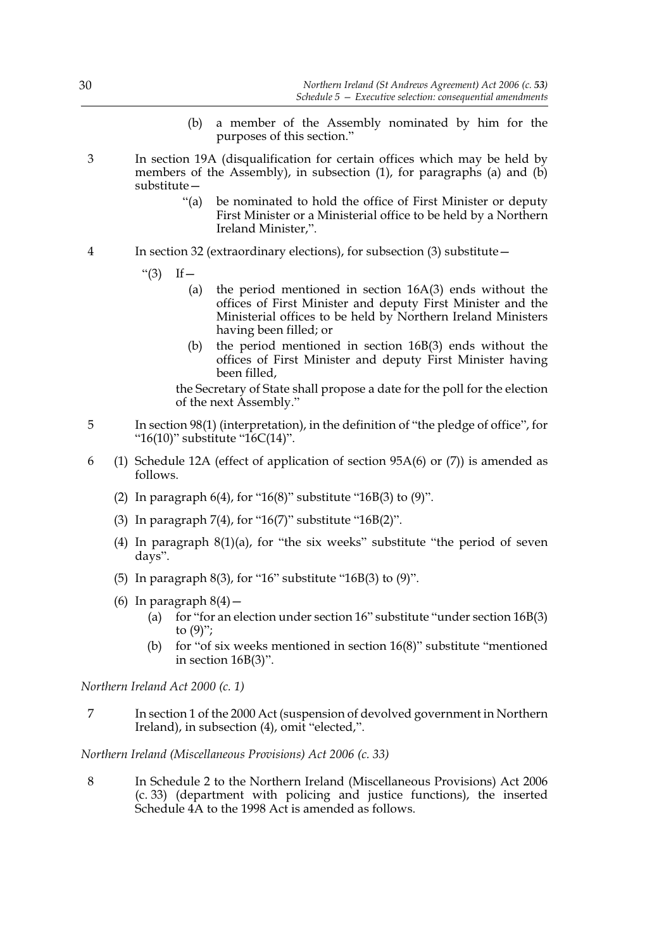- (b) a member of the Assembly nominated by him for the purposes of this section."
- 3 In section 19A (disqualification for certain offices which may be held by members of the Assembly), in subsection (1), for paragraphs (a) and (b) substitute—
	- "(a) be nominated to hold the office of First Minister or deputy First Minister or a Ministerial office to be held by a Northern Ireland Minister,".
- 4 In section 32 (extraordinary elections), for subsection (3) substitute—
	- " $(3)$  If
		- (a) the period mentioned in section 16A(3) ends without the offices of First Minister and deputy First Minister and the Ministerial offices to be held by Northern Ireland Ministers having been filled; or
		- (b) the period mentioned in section 16B(3) ends without the offices of First Minister and deputy First Minister having been filled,

the Secretary of State shall propose a date for the poll for the election of the next Assembly."

- 5 In section 98(1) (interpretation), in the definition of "the pledge of office", for " $16(10)$ " substitute " $16C(14)$ ".
- 6 (1) Schedule 12A (effect of application of section 95A(6) or (7)) is amended as follows.
	- (2) In paragraph  $6(4)$ , for "16 $(8)$ " substitute "16B $(3)$  to  $(9)$ ".
	- (3) In paragraph  $7(4)$ , for "16(7)" substitute "16B(2)".
	- (4) In paragraph 8(1)(a), for "the six weeks" substitute "the period of seven days".
	- (5) In paragraph  $8(3)$ , for "16" substitute "16B(3) to (9)".
	- (6) In paragraph  $8(4)$  -
		- (a) for "for an election under section 16" substitute "under section 16B(3) to  $(9)$ ";
		- (b) for "of six weeks mentioned in section 16(8)" substitute "mentioned in section 16B(3)".

#### *Northern Ireland Act 2000 (c. 1)*

7 In section 1 of the 2000 Act (suspension of devolved government in Northern Ireland), in subsection (4), omit "elected,".

## *Northern Ireland (Miscellaneous Provisions) Act 2006 (c. 33)*

8 In Schedule 2 to the Northern Ireland (Miscellaneous Provisions) Act 2006 (c. 33) (department with policing and justice functions), the inserted Schedule  $\overline{4A}$  to the 1998 Act is amended as follows.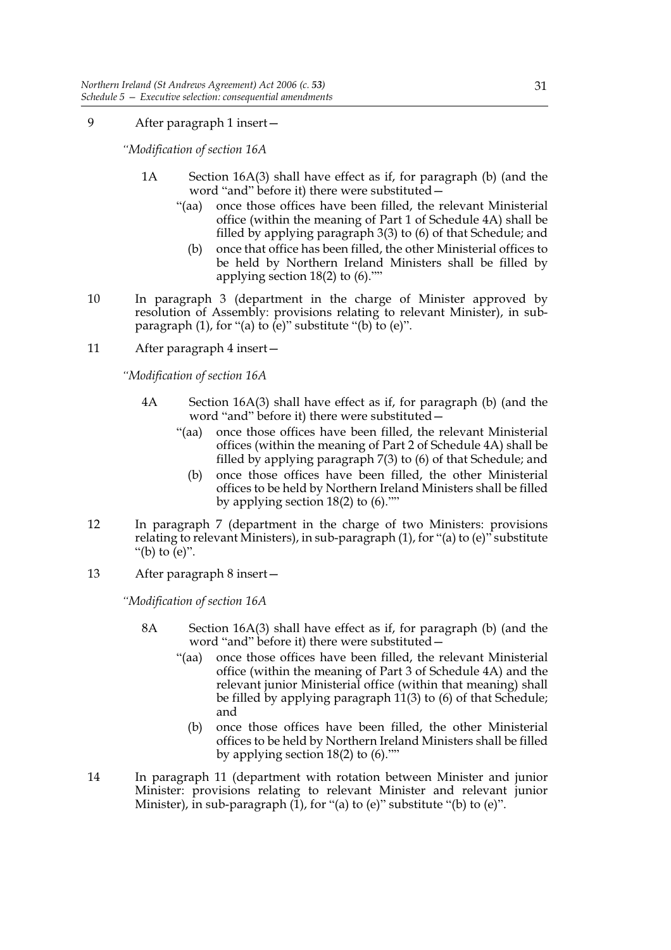## 9 After paragraph 1 insert—

*"Modification of section 16A*

- 1A Section 16A(3) shall have effect as if, for paragraph (b) (and the word "and" before it) there were substituted—
	- "(aa) once those offices have been filled, the relevant Ministerial office (within the meaning of Part 1 of Schedule 4A) shall be filled by applying paragraph 3(3) to (6) of that Schedule; and
		- (b) once that office has been filled, the other Ministerial offices to be held by Northern Ireland Ministers shall be filled by applying section 18(2) to (6).""
- 10 In paragraph 3 (department in the charge of Minister approved by resolution of Assembly: provisions relating to relevant Minister), in subparagraph  $(1)$ , for " $(a)$  to  $(e)$ " substitute " $(b)$  to  $(e)$ ".
- 11 After paragraph 4 insert—

*"Modification of section 16A*

- 4A Section 16A(3) shall have effect as if, for paragraph (b) (and the word "and" before it) there were substituted—
	- "(aa) once those offices have been filled, the relevant Ministerial offices (within the meaning of Part 2 of Schedule 4A) shall be filled by applying paragraph 7(3) to (6) of that Schedule; and
		- (b) once those offices have been filled, the other Ministerial offices to be held by Northern Ireland Ministers shall be filled by applying section 18(2) to (6).""
- 12 In paragraph 7 (department in the charge of two Ministers: provisions relating to relevant Ministers), in sub-paragraph (1), for "(a) to (e)" substitute "(b) to  $(e)$ ".
- 13 After paragraph 8 insert—

*"Modification of section 16A*

- 8A Section 16A(3) shall have effect as if, for paragraph (b) (and the word "and" before it) there were substituted -
	- "(aa) once those offices have been filled, the relevant Ministerial office (within the meaning of Part 3 of Schedule 4A) and the relevant junior Ministerial office (within that meaning) shall be filled by applying paragraph  $11(3)$  to (6) of that Schedule; and
		- (b) once those offices have been filled, the other Ministerial offices to be held by Northern Ireland Ministers shall be filled by applying section 18(2) to (6).""
- 14 In paragraph 11 (department with rotation between Minister and junior Minister: provisions relating to relevant Minister and relevant junior Minister), in sub-paragraph (1), for "(a) to (e)" substitute "(b) to (e)".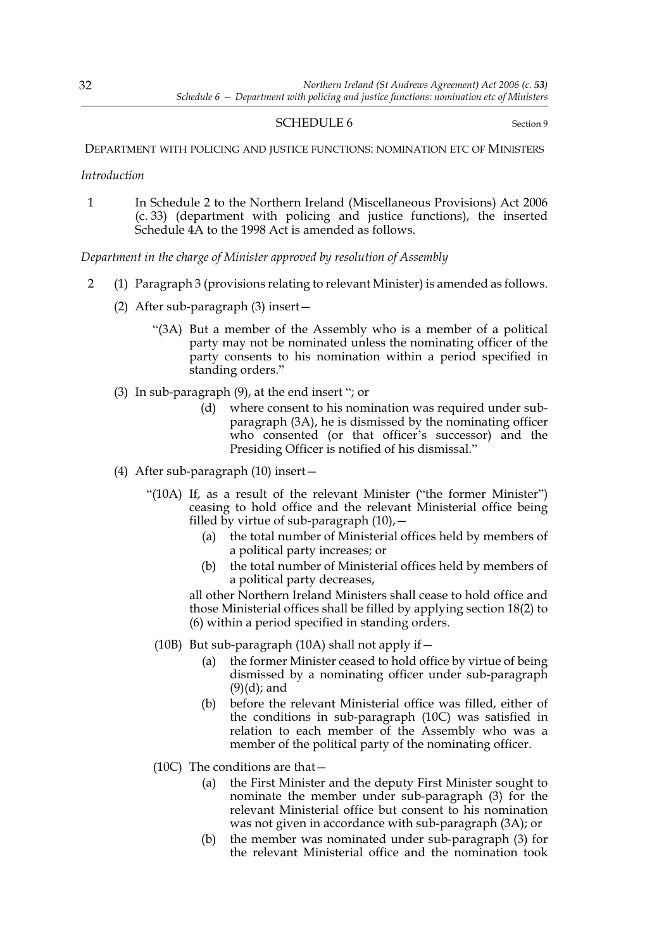#### SCHEDULE 6 Section 9

#### DEPARTMENT WITH POLICING AND JUSTICE FUNCTIONS: NOMINATION ETC OF MINISTERS

*Introduction*

1 In Schedule 2 to the Northern Ireland (Miscellaneous Provisions) Act 2006 (c. 33) (department with policing and justice functions), the inserted Schedule 4A to the 1998 Act is amended as follows.

*Department in the charge of Minister approved by resolution of Assembly*

- 2 (1) Paragraph 3 (provisions relating to relevant Minister) is amended as follows.
	- (2) After sub-paragraph (3) insert—
		- "(3A) But a member of the Assembly who is a member of a political party may not be nominated unless the nominating officer of the party consents to his nomination within a period specified in standing orders."
	- (3) In sub-paragraph (9), at the end insert "; or
		- (d) where consent to his nomination was required under subparagraph (3A), he is dismissed by the nominating officer who consented (or that officer's successor) and the Presiding Officer is notified of his dismissal."
	- (4) After sub-paragraph (10) insert—
		- "(10A) If, as a result of the relevant Minister ("the former Minister") ceasing to hold office and the relevant Ministerial office being filled by virtue of sub-paragraph  $(10)$ ,  $-$ 
			- (a) the total number of Ministerial offices held by members of a political party increases; or
			- (b) the total number of Ministerial offices held by members of a political party decreases,

all other Northern Ireland Ministers shall cease to hold office and those Ministerial offices shall be filled by applying section 18(2) to (6) within a period specified in standing orders.

- (10B) But sub-paragraph (10A) shall not apply if  $-$ 
	- (a) the former Minister ceased to hold office by virtue of being dismissed by a nominating officer under sub-paragraph (9)(d); and
	- (b) before the relevant Ministerial office was filled, either of the conditions in sub-paragraph (10C) was satisfied in relation to each member of the Assembly who was a member of the political party of the nominating officer.
- (10C) The conditions are that—
	- (a) the First Minister and the deputy First Minister sought to nominate the member under sub-paragraph (3) for the relevant Ministerial office but consent to his nomination was not given in accordance with sub-paragraph (3A); or
	- (b) the member was nominated under sub-paragraph (3) for the relevant Ministerial office and the nomination took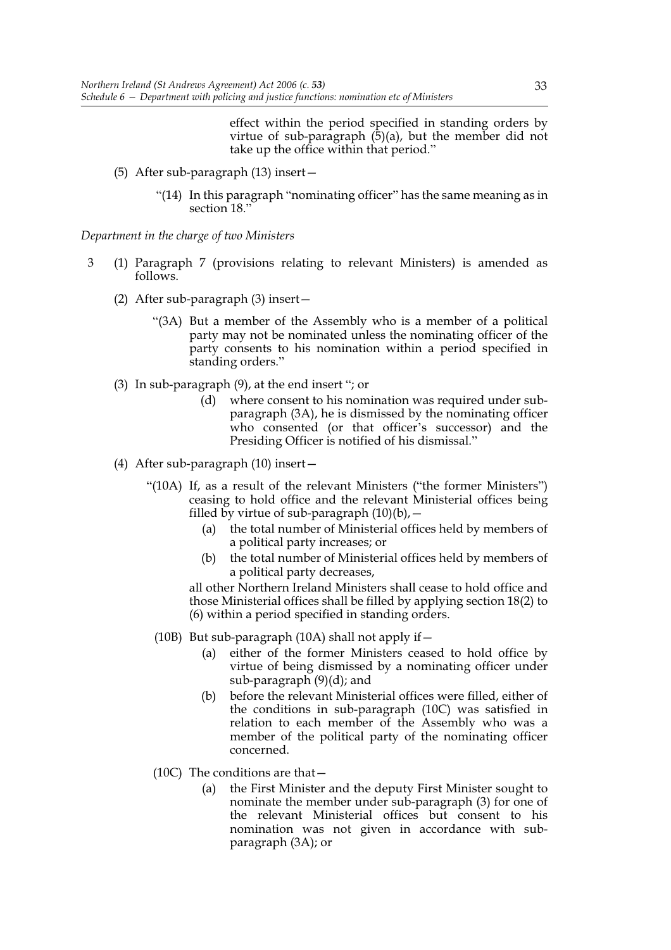effect within the period specified in standing orders by virtue of sub-paragraph  $(5)(a)$ , but the member did not take up the office within that period."

- (5) After sub-paragraph (13) insert—
	- "(14) In this paragraph "nominating officer" has the same meaning as in section 18."

*Department in the charge of two Ministers*

- 3 (1) Paragraph 7 (provisions relating to relevant Ministers) is amended as follows.
	- (2) After sub-paragraph (3) insert—
		- "(3A) But a member of the Assembly who is a member of a political party may not be nominated unless the nominating officer of the party consents to his nomination within a period specified in standing orders."
	- (3) In sub-paragraph (9), at the end insert "; or
		- (d) where consent to his nomination was required under subparagraph (3A), he is dismissed by the nominating officer who consented (or that officer's successor) and the Presiding Officer is notified of his dismissal."
	- (4) After sub-paragraph (10) insert—
		- "(10A) If, as a result of the relevant Ministers ("the former Ministers") ceasing to hold office and the relevant Ministerial offices being filled by virtue of sub-paragraph  $(10)(b)$ , –
			- (a) the total number of Ministerial offices held by members of a political party increases; or
			- (b) the total number of Ministerial offices held by members of a political party decreases,

all other Northern Ireland Ministers shall cease to hold office and those Ministerial offices shall be filled by applying section 18(2) to (6) within a period specified in standing orders.

(10B) But sub-paragraph (10A) shall not apply if  $-$ 

- (a) either of the former Ministers ceased to hold office by virtue of being dismissed by a nominating officer under sub-paragraph (9)(d); and
- (b) before the relevant Ministerial offices were filled, either of the conditions in sub-paragraph (10C) was satisfied in relation to each member of the Assembly who was a member of the political party of the nominating officer concerned.
- (10C) The conditions are that—
	- (a) the First Minister and the deputy First Minister sought to nominate the member under sub-paragraph (3) for one of the relevant Ministerial offices but consent to his nomination was not given in accordance with subparagraph (3A); or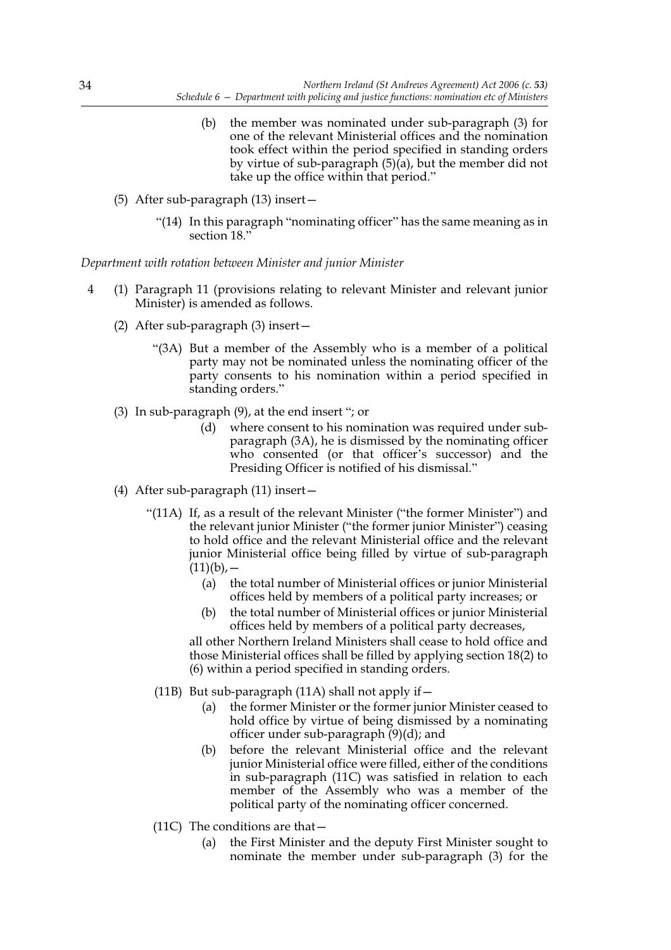- (b) the member was nominated under sub-paragraph (3) for one of the relevant Ministerial offices and the nomination took effect within the period specified in standing orders by virtue of sub-paragraph  $(5)(a)$ , but the member did not take up the office within that period."
- (5) After sub-paragraph (13) insert—
	- "(14) In this paragraph "nominating officer" has the same meaning as in section 18."

*Department with rotation between Minister and junior Minister*

- 4 (1) Paragraph 11 (provisions relating to relevant Minister and relevant junior Minister) is amended as follows.
	- (2) After sub-paragraph (3) insert—
		- "(3A) But a member of the Assembly who is a member of a political party may not be nominated unless the nominating officer of the party consents to his nomination within a period specified in standing orders."
	- (3) In sub-paragraph (9), at the end insert "; or
		- (d) where consent to his nomination was required under subparagraph (3A), he is dismissed by the nominating officer who consented (or that officer's successor) and the Presiding Officer is notified of his dismissal."
	- (4) After sub-paragraph (11) insert—
		- "(11A) If, as a result of the relevant Minister ("the former Minister") and the relevant junior Minister ("the former junior Minister") ceasing to hold office and the relevant Ministerial office and the relevant junior Ministerial office being filled by virtue of sub-paragraph  $(11)(b)$ , —
			- (a) the total number of Ministerial offices or junior Ministerial offices held by members of a political party increases; or
			- (b) the total number of Ministerial offices or junior Ministerial offices held by members of a political party decreases,

all other Northern Ireland Ministers shall cease to hold office and those Ministerial offices shall be filled by applying section 18(2) to (6) within a period specified in standing orders.

- (11B) But sub-paragraph (11A) shall not apply if—
	- (a) the former Minister or the former junior Minister ceased to hold office by virtue of being dismissed by a nominating officer under sub-paragraph (9)(d); and
	- (b) before the relevant Ministerial office and the relevant junior Ministerial office were filled, either of the conditions in sub-paragraph (11C) was satisfied in relation to each member of the Assembly who was a member of the political party of the nominating officer concerned.
- (11C) The conditions are that—
	- (a) the First Minister and the deputy First Minister sought to nominate the member under sub-paragraph (3) for the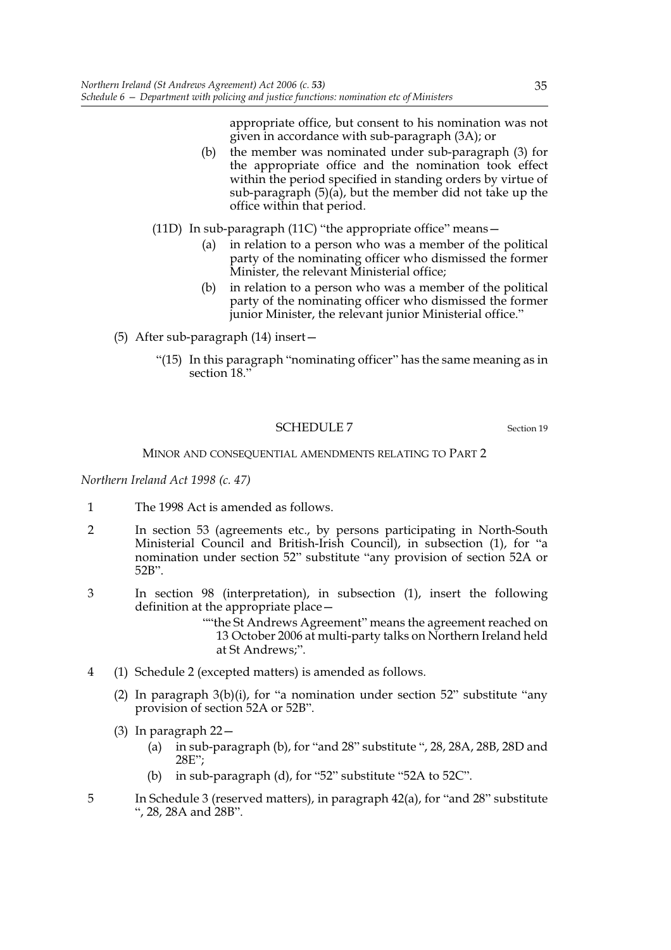appropriate office, but consent to his nomination was not given in accordance with sub-paragraph (3A); or

- (b) the member was nominated under sub-paragraph (3) for the appropriate office and the nomination took effect within the period specified in standing orders by virtue of sub-paragraph (5)(a), but the member did not take up the office within that period.
- (11D) In sub-paragraph (11C) "the appropriate office" means $-$ 
	- (a) in relation to a person who was a member of the political party of the nominating officer who dismissed the former Minister, the relevant Ministerial office;
	- (b) in relation to a person who was a member of the political party of the nominating officer who dismissed the former junior Minister, the relevant junior Ministerial office."
- (5) After sub-paragraph (14) insert—
	- "(15) In this paragraph "nominating officer" has the same meaning as in section 18.

## SCHEDULE 7 Section 19

#### MINOR AND CONSEQUENTIAL AMENDMENTS RELATING TO PART 2

*Northern Ireland Act 1998 (c. 47)*

- 1 The 1998 Act is amended as follows.
- 2 In section 53 (agreements etc., by persons participating in North-South Ministerial Council and British-Irish Council), in subsection (1), for "a nomination under section 52" substitute "any provision of section 52A or 52B".
- 3 In section 98 (interpretation), in subsection (1), insert the following definition at the appropriate place—
	- ""the St Andrews Agreement" means the agreement reached on 13 October 2006 at multi-party talks on Northern Ireland held at St Andrews;".
- 4 (1) Schedule 2 (excepted matters) is amended as follows.
	- (2) In paragraph  $3(b)(i)$ , for "a nomination under section 52" substitute "any provision of section 52A or 52B".
	- (3) In paragraph 22—
		- (a) in sub-paragraph (b), for "and 28" substitute ", 28, 28A, 28B, 28D and 28E";
		- (b) in sub-paragraph (d), for "52" substitute "52A to 52C".
- 5 In Schedule 3 (reserved matters), in paragraph 42(a), for "and 28" substitute ", 28, 28A and 28B".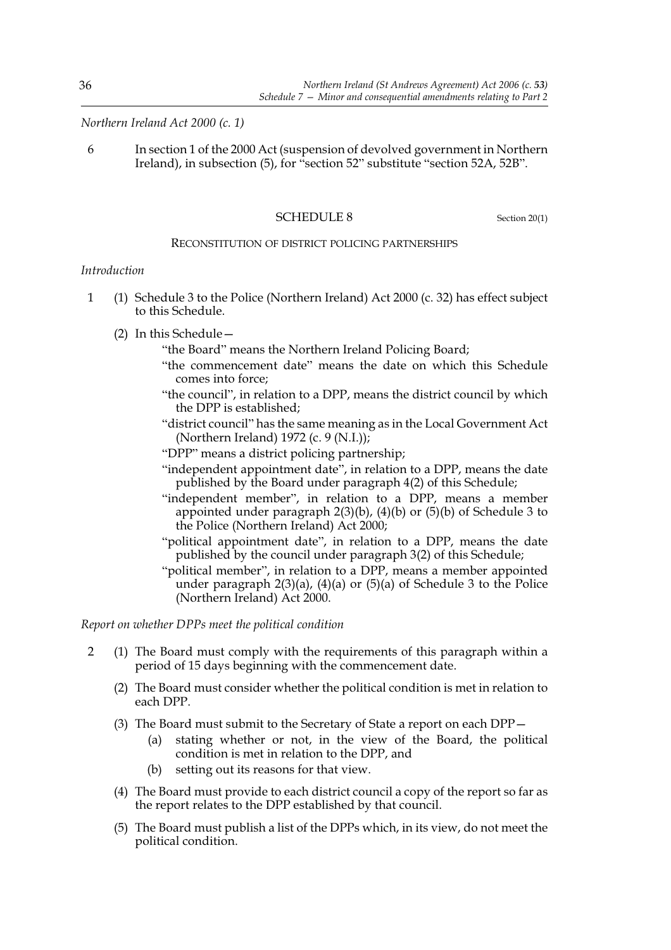*Northern Ireland Act 2000 (c. 1)*

6 In section 1 of the 2000 Act (suspension of devolved government in Northern Ireland), in subsection (5), for "section 52" substitute "section 52A, 52B".

#### SCHEDULE 8 Section 20(1)

#### RECONSTITUTION OF DISTRICT POLICING PARTNERSHIPS

#### *Introduction*

- 1 (1) Schedule 3 to the Police (Northern Ireland) Act 2000 (c. 32) has effect subject to this Schedule.
	- (2) In this Schedule—
		- "the Board" means the Northern Ireland Policing Board;
		- "the commencement date" means the date on which this Schedule comes into force;
		- "the council", in relation to a DPP, means the district council by which the DPP is established;
		- "district council" has the same meaning as in the Local Government Act (Northern Ireland) 1972 (c. 9 (N.I.));
		- "DPP" means a district policing partnership;
		- "independent appointment date", in relation to a DPP, means the date published by the Board under paragraph 4(2) of this Schedule;
		- "independent member", in relation to a DPP, means a member appointed under paragraph 2(3)(b), (4)(b) or (5)(b) of Schedule 3 to the Police (Northern Ireland) Act 2000;
		- "political appointment date", in relation to a DPP, means the date published by the council under paragraph 3(2) of this Schedule;
		- "political member", in relation to a DPP, means a member appointed under paragraph  $2(3)(a)$ ,  $(4)(a)$  or  $(5)(a)$  of Schedule 3 to the Police (Northern Ireland) Act 2000.

## *Report on whether DPPs meet the political condition*

- 2 (1) The Board must comply with the requirements of this paragraph within a period of 15 days beginning with the commencement date.
	- (2) The Board must consider whether the political condition is met in relation to each DPP.
	- (3) The Board must submit to the Secretary of State a report on each DPP—
		- (a) stating whether or not, in the view of the Board, the political condition is met in relation to the DPP, and
		- (b) setting out its reasons for that view.
	- (4) The Board must provide to each district council a copy of the report so far as the report relates to the DPP established by that council.
	- (5) The Board must publish a list of the DPPs which, in its view, do not meet the political condition.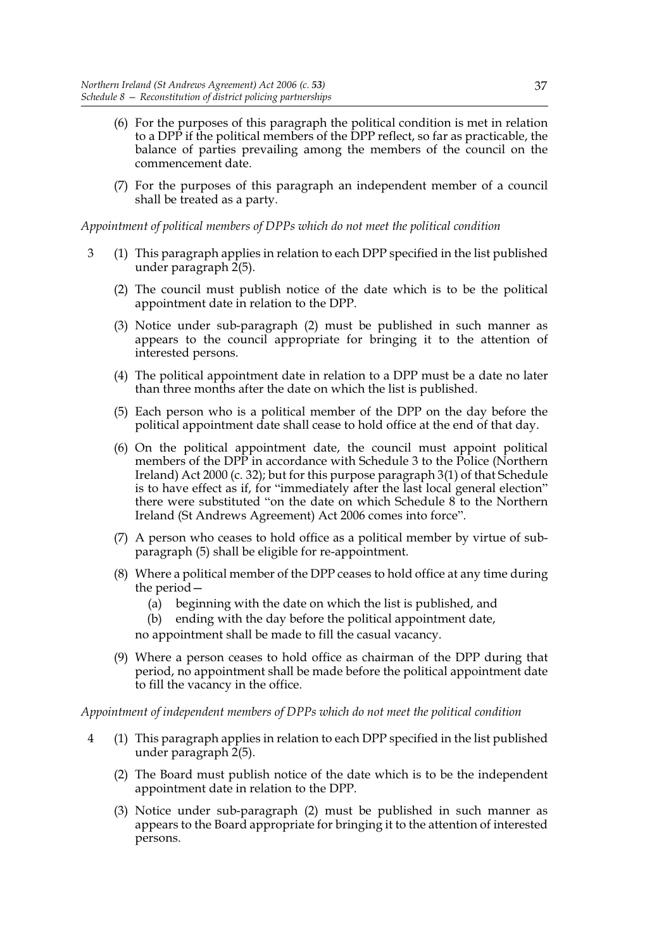- (6) For the purposes of this paragraph the political condition is met in relation to a DPP if the political members of the DPP reflect, so far as practicable, the balance of parties prevailing among the members of the council on the commencement date.
- (7) For the purposes of this paragraph an independent member of a council shall be treated as a party.

*Appointment of political members of DPPs which do not meet the political condition*

- 3 (1) This paragraph applies in relation to each DPP specified in the list published under paragraph 2(5).
	- (2) The council must publish notice of the date which is to be the political appointment date in relation to the DPP.
	- (3) Notice under sub-paragraph (2) must be published in such manner as appears to the council appropriate for bringing it to the attention of interested persons.
	- (4) The political appointment date in relation to a DPP must be a date no later than three months after the date on which the list is published.
	- (5) Each person who is a political member of the DPP on the day before the political appointment date shall cease to hold office at the end of that day.
	- (6) On the political appointment date, the council must appoint political members of the DPP in accordance with Schedule 3 to the Police (Northern Ireland) Act 2000 (c. 32); but for this purpose paragraph 3(1) of that Schedule is to have effect as if, for "immediately after the last local general election" there were substituted "on the date on which Schedule  $8$  to the Northern Ireland (St Andrews Agreement) Act 2006 comes into force".
	- (7) A person who ceases to hold office as a political member by virtue of subparagraph (5) shall be eligible for re-appointment.
	- (8) Where a political member of the DPP ceases to hold office at any time during the period—
		- (a) beginning with the date on which the list is published, and
		- (b) ending with the day before the political appointment date,

no appointment shall be made to fill the casual vacancy.

(9) Where a person ceases to hold office as chairman of the DPP during that period, no appointment shall be made before the political appointment date to fill the vacancy in the office.

*Appointment of independent members of DPPs which do not meet the political condition*

- 4 (1) This paragraph applies in relation to each DPP specified in the list published under paragraph  $2(5)$ .
	- (2) The Board must publish notice of the date which is to be the independent appointment date in relation to the DPP.
	- (3) Notice under sub-paragraph (2) must be published in such manner as appears to the Board appropriate for bringing it to the attention of interested persons.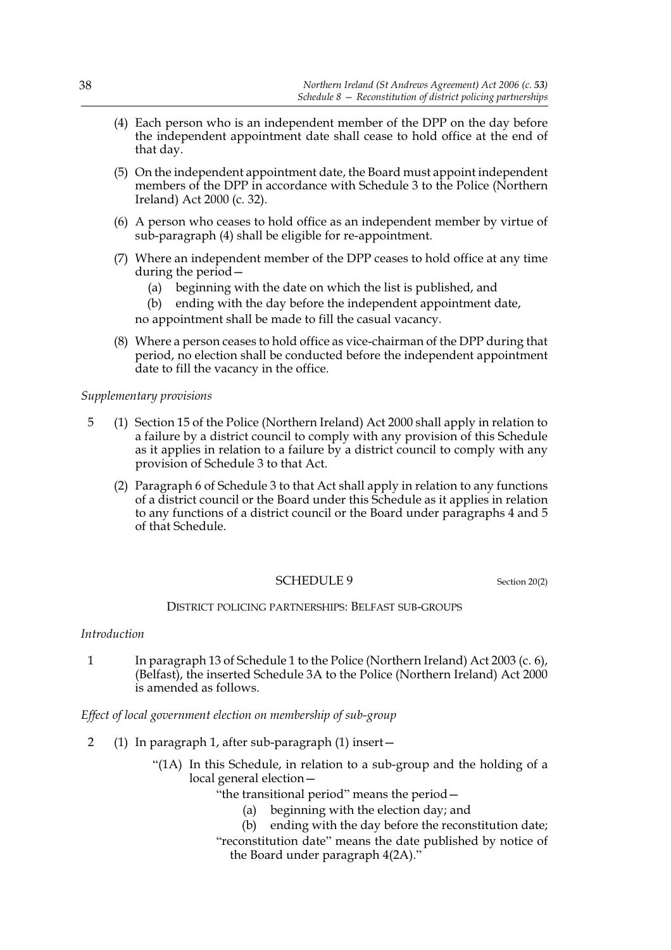- (4) Each person who is an independent member of the DPP on the day before the independent appointment date shall cease to hold office at the end of that day.
- (5) On the independent appointment date, the Board must appoint independent members of the DPP in accordance with Schedule 3 to the Police (Northern Ireland) Act 2000 (c. 32).
- (6) A person who ceases to hold office as an independent member by virtue of sub-paragraph (4) shall be eligible for re-appointment.
- (7) Where an independent member of the DPP ceases to hold office at any time during the period—
	- (a) beginning with the date on which the list is published, and
	- (b) ending with the day before the independent appointment date,

no appointment shall be made to fill the casual vacancy.

(8) Where a person ceases to hold office as vice-chairman of the DPP during that period, no election shall be conducted before the independent appointment date to fill the vacancy in the office.

#### *Supplementary provisions*

- 5 (1) Section 15 of the Police (Northern Ireland) Act 2000 shall apply in relation to a failure by a district council to comply with any provision of this Schedule as it applies in relation to a failure by a district council to comply with any provision of Schedule 3 to that Act.
	- (2) Paragraph 6 of Schedule 3 to that Act shall apply in relation to any functions of a district council or the Board under this Schedule as it applies in relation to any functions of a district council or the Board under paragraphs 4 and 5 of that Schedule.

#### SCHEDULE 9 Section 20(2)

#### DISTRICT POLICING PARTNERSHIPS: BELFAST SUB-GROUPS

#### *Introduction*

1 In paragraph 13 of Schedule 1 to the Police (Northern Ireland) Act 2003 (c. 6), (Belfast), the inserted Schedule 3A to the Police (Northern Ireland) Act 2000 is amended as follows.

*Effect of local government election on membership of sub-group*

- 2 (1) In paragraph 1, after sub-paragraph (1) insert—
	- "(1A) In this Schedule, in relation to a sub-group and the holding of a local general election—

"the transitional period" means the period—

- (a) beginning with the election day; and
- (b) ending with the day before the reconstitution date;

"reconstitution date" means the date published by notice of the Board under paragraph 4(2A)."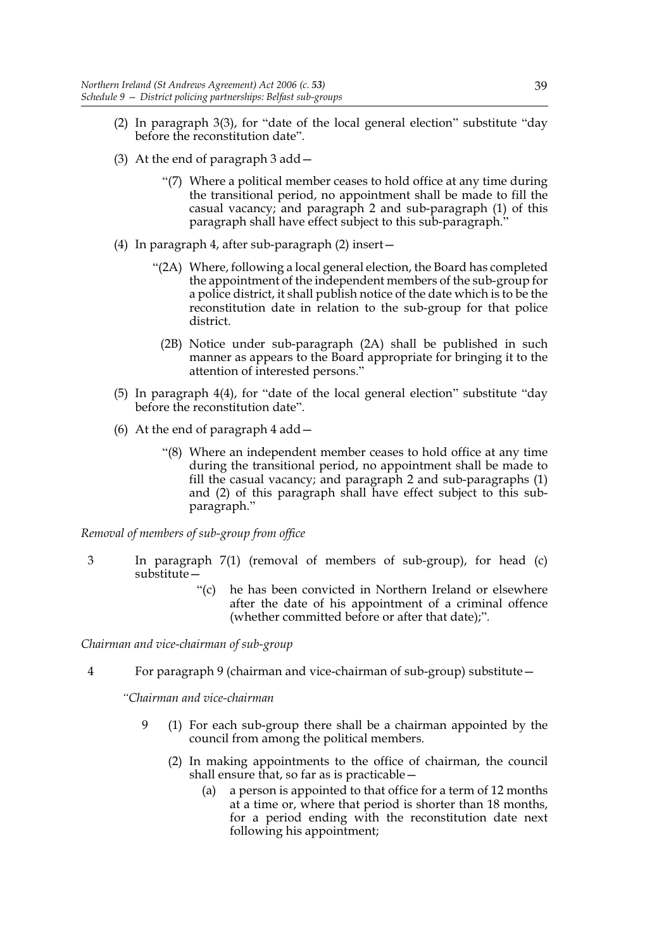- (2) In paragraph 3(3), for "date of the local general election" substitute "day before the reconstitution date".
- (3) At the end of paragraph 3 add—
	- "(7) Where a political member ceases to hold office at any time during the transitional period, no appointment shall be made to fill the casual vacancy; and paragraph 2 and sub-paragraph (1) of this paragraph shall have effect subject to this sub-paragraph."
- (4) In paragraph 4, after sub-paragraph (2) insert—
	- "(2A) Where, following a local general election, the Board has completed the appointment of the independent members of the sub-group for a police district, it shall publish notice of the date which is to be the reconstitution date in relation to the sub-group for that police district.
		- (2B) Notice under sub-paragraph (2A) shall be published in such manner as appears to the Board appropriate for bringing it to the attention of interested persons."
- (5) In paragraph 4(4), for "date of the local general election" substitute "day before the reconstitution date".
- (6) At the end of paragraph  $4$  add  $-$ 
	- "(8) Where an independent member ceases to hold office at any time during the transitional period, no appointment shall be made to fill the casual vacancy; and paragraph 2 and sub-paragraphs (1) and (2) of this paragraph shall have effect subject to this subparagraph."

*Removal of members of sub-group from office*

- 3 In paragraph 7(1) (removal of members of sub-group), for head (c) substitute—
	- "(c) he has been convicted in Northern Ireland or elsewhere after the date of his appointment of a criminal offence (whether committed before or after that date);".

*Chairman and vice-chairman of sub-group*

4 For paragraph 9 (chairman and vice-chairman of sub-group) substitute—

*"Chairman and vice-chairman*

- 9 (1) For each sub-group there shall be a chairman appointed by the council from among the political members.
	- (2) In making appointments to the office of chairman, the council shall ensure that, so far as is practicable—
		- (a) a person is appointed to that office for a term of 12 months at a time or, where that period is shorter than 18 months, for a period ending with the reconstitution date next following his appointment;